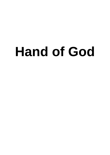# **Hand of God**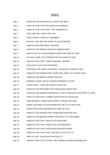# INDEX

| Day 1  | HAND OF GOD PROVIDES ALL WHAT WE NEED                        |
|--------|--------------------------------------------------------------|
| Day 2  | HAND OF GOD THAT PROVIDES FOR SABBATH                        |
| Day 3  | HAND OF GOD THAT BUILT THE TABERNACLE                        |
| Day 4  | THE LORD WILL FIGHT FOR YOU                                  |
| Day 5  | GOD'S MIGHTY HAND OF JUDGMENT                                |
| Day 6  | BE STILL AND SEE THE HAND OF GOD WORKING                     |
| Day 7  | HAND OF GOD PROVIDES THE BEST                                |
| Day 8  | HAND OF GOD BRINGS FEAR ON UNBELIEVERS                       |
| Day 9  | GRATITUDE TO THE BLESSINGS FROM THE HAND OF GOD              |
| Day 10 | NO WALLS ARE TOO STRONG FOR THE HAND OF GOD                  |
| Day 11 | HAND OF GOD THAT TURNS HEAVENLY BODIES                       |
| Day 12 | GOD WHO FULFILS HIS PROMISES                                 |
| Day 13 | CHOOSING THE WEAK TO REVEAL THE MIGHTY HAND OF GOD           |
| Day 14 | HAND OF GOD WORKS FOR THOSE WHO WANT TO GLORIFY GOD          |
| Day 15 | HAND OF GOD BRINGS GREAT REVIVAL                             |
| Day 16 | WINNING A WAR JUST BY SINGING PRAISES TO GOD                 |
| Day 17 | YOUR STORY - HAND OF GOD IN YOUR LIFE                        |
| Day 18 | HAND OF GOD PROVIDES FOR THOSE WHO SERVE HIM                 |
| Day 19 | HAND OF GOD WORKS POWERFULLY FOR THOSE WHO GIVE FIRST TO GOD |
| Day 20 | HAND OF GOD THAT TURNED THE NATION TO TRUE GOD               |
| Day 21 | OUR HARDEST THINGS ARE EASIEST THINGS FOR GOD                |
| Day 22 | WHEN THE HAND OF GOD WORKS ON THE LITTLE WE HAVE             |
| Day 23 | OPEN YOUR EYES AND SEE THE HAND OF GOD                       |
| Day 24 | HAND OF GOD WORKS FOR THOSE WHO HONOUR GOD                   |
| Day 25 | HAND OF GOD BRINGS DOWN THE MIGHTY TO THE KNEES              |
| Day 26 | HAND OF GOD THAT SAVES YOU FROM FIRE                         |
| Day 27 | HAND OF GOD THAT VINDICATES THE INNOCENT                     |
| Day 28 | HAND OF GOD THAT DISCIPLINES AND RESTORES                    |
| Day 29 | HAND OF GOD THAT BUILT THE WALL IN 52 DAYS 75                |
| Day 30 | ARM OF GOD - JESUS OUR SAVIOUR 78                            |
| Day 31 | HAND OF GOD THAT PLACES THE CROWN OF RIGHTEOUSNESS 80        |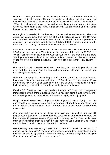**Psalm 8:1-4** LORD, our Lord, how majestic is your name in all the earth! You have set your glory in the heavens. 2 Through the praise of children and infants you have established a stronghold against your enemies, to silence the foe and the avenger. 3 When I consider your heavens, the work of your fingers, the moon and the stars, which you have set in place, 4 what is mankind that you are mindful of them, human beings that you care for them

God's glory is revealed in the heavens (sky) as well as on the earth. The most current estimates guess that there are 100 to 200 billion galaxies in the Universe, each of which has hundreds of billions of stars. A recent German supercomputer simulation put that number even higher: 500 billion (50,000 Crores). In other words, there could be a galaxy out there for every star in the Milky Way.

If we count each star per second in our own galaxy called Milky Way, it will take 2,500 years to count them. Then imagine the expanse of the universe?? Vs3 says 'When I consider your heavens, the work of your fingers, the moon and the stars, Which you have set in place'. It is wonderful to know that entire universe is the work of the fingers of our father in heaven. Then how big is His hand? How powerful is he?

God says to Israel in **Isaiah 41:10** so do not fear, for I am with you; do not be dismayed, for I am your God. I will strengthen you and help you; I will uphold you with my righteous right hand.

What if the almighty God whose fingers made and put the billions of stars in place, holds you in his hand! How wonderful it will be? Should you fear anything at all? We are going to have a series of Lessons on the 'Hand of God'. This is going to help us build faith and great trust in our wonderful almighty father in heaven.

**Exodus 6:6** "Therefore, say to the Israelites: 'I am the LORD, and I will bring you out from under the yoke of the Egyptians. I will free you from being slaves to them, and I will redeem you with an outstretched arm and with mighty acts of judgment.

People of Israel were slaves in Egypt for 100s of years. It was a mighty nation that oppressed them. People of Israel could have never got freedom by any of their own efforts. But God had mercy on them and out of his compassion he promised them deliverance.

God promised Israel that he will deliver them with an outstretched arm and with mighty acts of judgment. We know how his outstretched arm worked wonders and how through 10 plagues against Egypt and by parting the Red Sea he delivered them and established them as a nation in the Promised Land. Later on God reasons out with them to remind them that there is no other God:

**Deuteronomy 4:34** Has any god ever tried to take for himself one nation out of another nation, by testings''', by signs and wonders, by war, by a mighty hand and an outstretched arm, or by great and awesome deeds, like all the things the LORD your God did for you in Egypt before your very eyes?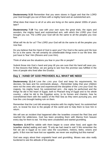**Deuteronomy 5:15** Remember that you were slaves in Egypt and that the LORD your God brought you out of there with a mighty hand and an outstretched arm.

What does that mean to all of us who are living on the same planet 1000s of years later?

**Deuteronomy 7:19** You saw with your own eyes the great trials, the signs and wonders, the mighty hand and outstretched arm, with which the LORD your God brought you out. The LORD your God will do the same to all the peoples you now fear.

What will He do for us? The LORD your God will do the same to all the peoples you now fear.

Do you believe that the Hand of God is upon you? Our God is the same and His love for us is the same. He will certainly do unbelievable things even in our life time. We just have to 'fear' Him (Revere and Love Him).

Think of what are the situations you fear in your life or people?

Submit those into God s hand and pray till you are sure that His hand will save you. In few lessons that follow, we are going to see how this promise was fulfilled in the lives of people who lived after the Exodus.

## **Day 1 : HAND OF GOD PROVIDES ALL WHAT WE NEED**

**Deuteronomy 11:1-4** Love the LORD your God and keep his requirements, his decrees, his laws and his commands always. <sup>2</sup> Remember today that your children were not the ones who saw and experienced the discipline of the LORD your God: his majesty, his mighty hand, his outstretched arm; 3 the signs he performed and the things he did in the heart of Egypt, both to Pharaoh king of Egypt and to his whole country;  $4$  what he did to the Egyptian army, to its horses and chariots, how he overwhelmed them with the waters of the Red Sea as they were pursuing you, and how the LORD brought lasting ruin on them.

Remember that the Lord did amazing miracles with his mighty hand, his outstretched arm, to reveal his love to the people of this world and to help them to love him in return.

We will see an incident that happened after the Israelites crossed the Red Sea and reached the wilderness. God has been providing them with Manna from heaven every day for them to eat. Yet they were unsatisfied and started grumbling.

**Numbers 11:4-6**The rabble with them began to crave other food, and again the Israelites started wailing and said, "If only we had meat to eat! 5 We remember the fish we ate in Egypt at no cost—also the cucumbers, melons, leeks, onions and garlic. 6 But now we have lost our appetite; we never see anything but this manna!"

God was angry about their ungrateful heart and grumbling. Moses was also really burdened to see the attitude of the people.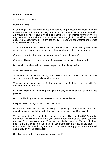#### **Numbers 11:11-15**

So God gave a solution:

#### **Numbers 11:18-23**

Even though God was angry about their attitude he promised them meat! hundred thousand men on foot, and you say, 'I will give them meat to eat for a whole month!' 22 Would they have enough if flocks and herds were slaughtered for them? Would they have enough if all the fish in the sea were caught for them?" 23 The Lord answered Moses, "Is the Lord's arm too short? Now you will see whether or not what I say will come true for you."

There were more than a million (10Lakh) people! Moses was wondering how in the world anyone can provide meat for more than a million people in the wilderness!

God was promising 'I will give them meat to eat for a whole month!'

God was willing to give them meat not for a day or two but for a whole month.

Moses felt it was impossible! He even expressed that plainly to God!

What was God's answer?

Vs.23 The Lord answered Moses, "Is the Lord's arm too short? Now you will see whether or not what I say will come true for you."

What are some things that you feel as your need but feel like it is impossible for anyone to meet that need?

Have you prayed for something and gave up praying because you think it is not possible?

Most horrible thing that we can do against God is to despise him.

Despise means 'to regard with contempt or scorn'.

How can we despise God? By believing or expressing in any way to others that something is impossible for God! That gives the impression that God is weak!!

We are created by God to 'glorify Him' not to despise Him.(Isaiah 43:5-7Do not be afraid, for I am with you; I will bring your children from the east and gather you from the west. 6 I will say to the north, 'Give them up!' And to the south, 'Do not hold them back.' Bring my sons from afar and my daughters from the ends of the earth—7 everyone who is called by my name, whom I created for my glory, whom I formed and made.")(NIV emphasis added)

So what happened to God's promise to give meat?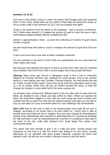#### **Numbers 11:31-34**

God sent a wind (Entire nature is under his power) and brought quail and scattered them in their camp. Quails piled up two cubits (3 feet) deep all around the camp, as far as a day's walk in any direction (vs 31). Can you imagine that sight?

{Cubit is the distance from the elbow to the fingertips - that is around 18-20inches. So 2 Cubits mean almost 3 ft. Imagine the amount of quail to cover the area a day's walk distance (approximately 46kms) multiplied by 3ft!}

{homer is approximately 4 liters - so each one collecting 10 homers of quail means 40 liters of quail}

No one would have been able to count or measure the amount of quail that God sent them.

It was much more than more than a million Israelites could eat!

So how powerful is the hand of God? With his outstretched arm he could feed the entire nation with meat!

But because they doubted the power of God to provide them with meat (or anything they needed), God struck them with a severe plague and many people perished.

**Sharing:** Many years ago Church in Bangalore used to hire a hall in Vishranthi Nilayam for Evening Services and meetings for small groups. One of the session Beena & I were taking care was Christian Training Program. We had booked the hall for 3 days a week for few weeks. Every time we go there the authorities used to give us a lot of trouble. Either they will say we haven't booked the place, or they will change the location to some other hall in the same campus etc.

As disciples were coming from different parts of the city after work to learn from the Bible, we decided to buy a flask and take coffee for them. When we reached the place, the authorities stopped us and said 'you can't bring any food or drinks from outside'! We felt so sad! From that time we started praying 'God help us to be able to buy our own place in a very convenient place for such meetings'! We remembered

**(Eph 3:20** Now to him who is able to do immeasurably more than all we ask or imagine, according to his power that is at work within us.. (NIV)) God is able to provide more than what we ask or imagine! Very next day I bought an advertisement weekly (Free Ads/Admag) and checked for advertisements for commercial buildings for sale and there it was: an advertisement for a portion of a building for sale right in the heart of the city –walk able distance from Sivaji Nagar Bus station near Commercial street!

The owner was kind enough to give it for a really low price. Usually people sell properties as and how it is. But this owner was willing to fix new doors, provide alterations as we specified with good quality materials, polished the floors and painted it well –all with his own money! It became ready to use! We had to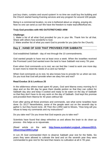just buy chairs, curtains and sound system! In no time we could buy the building and the Church started having Evening services and any program for around 100 people.

Being in a commercial location, no one is bothered about us singing, praying etc. Now no one can send us out! We have the freedom to make tea/coffee/food etc.

#### **Truly God provides with HIS OUTSTRETCHED ARM**

#### **Challenge:**

1. Make a list of all what God provided for you in your life. Thank him for all that. Share with others how wonderful is God.

2. Make another list of what you want God to provide for you (also for the Church).

## **Day 2 : HAND OF GOD THAT PROVIDES FOR SABBATH**

God established Sabbath - day of rest through the 10 commandments.

God wanted people to have rest at least once a week. When the Israelites received the Promised Land God wanted even the land to have Sabbath rest every 7th year.

Even when God commands us to rest, we can feel like I need to work one more day to earn more to meet the needs of us and our family!!

When God commands us to rest, he also knows how to provide for us when we rest. Do you trust that God will provide when we obey him and rest?

#### **Read Exodus 16 & Leviticus 25**

In the wilderness where Israel spent 40 years, God sent Manna every morning for 6 days and on the 6th day he gave them double portion so that they can collect for Sabbath day also and keep it cooked and ready to be eaten on the day of Sabbath so that they don't have to do any work on the day of Sabbath. God kept this promise and provided them Manna for 40 years without fail.

Even after giving all these promises and commands, see what some Israelites have done: Ex 16:27 Nevertheless, some of the people went out on the seventh day to gather it, but they found none. 28 Then the LORD said to Moses, "How long will you refuse to keep my commands and my instructions?

Do you take rest? Do you know that God expects you to take rest?

Scientists have found that sleep refreshes us and allows the brain to do clean up process - this helps us to rejuvenate.

(Read article on the web **[http://www.eurekalert.org/pub\\_releases/2013-](http://www.eurekalert.org/pub_releases/2013-10/uormtsp100913.php) [10/uormtsp100913.php\)](http://www.eurekalert.org/pub_releases/2013-10/uormtsp100913.php)**

In Lev 25 God commanded them to observe Sabbath year rest for the fields. Six years they were allowed to cultivate the land and on the seventh year they were commanded to give rest for the land that means no cultivation at all in 7th year.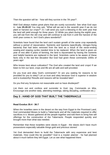Then the question will be - 'how will they survive in the 7th year?'.

Well God always makes great plans that are surely successful. See what God says in : **Lev 25:20-22** You may ask, "What will we eat in the seventh year if we do not plant or harvest our crops?" 21 I will send you such a blessing in the sixth year that the land will yield enough for three years. 22 While you plant during the eighth year, you will eat from the old crop and will continue to eat from it until the harvest of the ninth year comes in. Isn't God's plans wonderful?

Scientists have found that the land can't sustain growth of the same crop repeatedly without a period of rejuvenation. Nutrients and bacteria (specifically, nitrogen-fixing bacteria) that had been removed from the land as a result of the never-ending sowing-and reaping cycles needed time to be replaced. When the land is given an year of rest after 6 years of farming, the land is rejuvenated by having the nutrients and helpful bacteria are replaced in the land. Scientists came to be aware of these facts only in the last few decades! But God had given these commands 1000s of years ago!

Who knows best about cultivation? The God who created the land and crops! If we listen to him our land, crops and life are all safe and well provided.

Do you trust and obey God's commands? Or are you waiting for reasons to be provided for you to obey? Let us trust and obey because God is superior in wisdom and is trustworthy! Results and reasons will be revealed later!

Do you find any Scriptures not reasonable and so have disobeyed?

List them out and confess and surrender to God. (eg. Commands on tithe, Encourage one another daily, attending meetings, taking discipling, confession etc.)

## **Day 3 : HAND OF GOD THAT BUILT THE TABERNACLE**

#### **Read Exodus 35:4 - 36:7**

When the Israelites were in the desert on the way from Egypt to the Promised Land, God commanded Moses to build a Tabernacle and all the materials required to offer sacrifices in it. Moses gathered all the people together and told them to bring free will offerings for the construction of the Tabernacle. People responded quickly and brought more than what was needed.

Remember that these Israelites were slaves in Egypt - the slaves don't have much possessions especially valuable things gold and precious stones!

Yet God demanded them to build the Tabernacle with very expensive and best materials. How could this be possible? God is a master planner - he had planned about it much before they left Egypt. Let us see what happened there: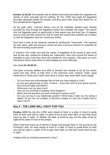**Exodus 12:35,36** The Israelites did as Moses instructed and asked the Egyptians for articles of silver and gold and for clothing. 36 The LORD had made the Egyptians favorably disposed toward the people, and they gave them what they asked for; so they plundered the Egyptians.

All the gold, silver, precious stones and all the materials needed were already provided by God through the Egyptians before the Israelites left Egypt. The reason why the Egyptians gave so generously to their slaves was that they saw 10 plagues sent by God and they feared the God of Israel and wanted the Israelites go in peace so that the Egyptians won't be cursed any further.

Now have a looks at the materials needed for building the Tabernacle - this required not only silver, gold and precious stones but also enormous amount of materials for the tent including acacia wood!

In advance God made sure that the hearts of Egyptians to be moved to give more that all that was needed for building the Tabernacle. Also God moved the hearts of Israelites to give more than what was needed for this purpose. They gave so much that Moses had to order them to stop bringing any more offerings.

Also Read **Ex 35:30-34**

God gave amazing abilities and skills to Bezalel and Oholiab to do all the artistic works and train others to help them in the extensive work. Hudson Taylor, great missionary to China said "God's work done in God's way never lacks God's supply".

- Do you know and acknowledge that all that you have belong to God?
- Do you give generously to God Finance more than 10% of your gross income, time and your gifts and talents?
- What ways can you give more?
- How are you involved in building God's kingdom?
- When was the last time you were involved in saving a soul?
- Are you serving in any leadership position? What does it take you for taking it higher? (If you are not a leader, to become a leader & if you are a leader how to serve more?)

# **Day 4 : THE LORD WILL FIGHT FOR YOU**

**Exodus 13:21** By day the LORD went ahead of them in a pillar of cloud to guide them on their way and by night in a pillar of fire to give them light, so that they could travel by day or night. 22 Neither the pillar of cloud by day nor the pillar of fire by night left its place in front of the people.

When God took Israel out of slavery in Egypt and brought them on the journey to the Promised Land, He went ahead of them in a pillar of cloud to guide them on their way and by night in a pillar of fire to give them light, so that they could travel by day or night.

Imagine what an amazing experience it was?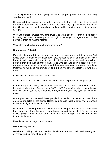The Almighty God is with you going ahead and preparing your way and protecting you day and night!

He was with them in a pillar of cloud in the day so that he could guide them as well as protect them from the scorching sun in the desert. By night he was with them in the pillar of cloud so that he could provide light and heat as the desert gets very cold at night.

We can't express in words how caring was God to his people. He met all their needs by being with them personally - not through some angels or agents - so that he proved to them he was their father!

What else was he doing when he was with them?

#### **Deuteronomy 1:26-36**

Even after being with them day and night and carrying them as a father, when God asked them to enter the promised land, they refused to go in as most of the spies brought bad news saying that the people of Canaan are giants and they will all perish if they fight against these giants. God was sad and angry because they did not appreciate all what he has done and they were ungrateful and were not able to trust that he will keep his promise of giving them the land irrespective of who lives there.

Only Caleb & Joshua had the faith and trust.

In response to their rebellion and faithlessness, God is speaking in this passage.

God is telling them clearly what was his plan: Vs. 29,30 Then I said to you, "Do not be terrified; do not be afraid of them. 30 The LORD your God, who is going before you, will fight for you, as he did for you in Egypt, before your very eyes, 31 and in the desert.

God's plan was not to send these people into the land of giants and get them defeated and killed by the giants. Rather his plan was that he himself will go ahead of them and fight the battles for them.

Now God is reminding them that this is not something new rather this is what God has been doing from the time he sent Moses to lead them out of Egypt. He was always going ahead of them and fighting for them in Egypt and all through the journey in the desert.

Read few more passages on this matter:

#### **Deuteronomy 20:1-4**

**Isaiah 45:2** I will go before you and will level the mountains; I will break down gates of bronze and cut through bars of iron.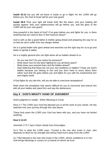**Isaiah 52:12** but you will not leave in haste or go in flight; for the LORD will go before you, the God of Israel will be your rear guard.

**Isaiah 58:8** Then your light will break forth like the dawn, and your healing will quickly appear; then your righteousness will go before you, and the glory of the LORD will be your rear guard.

How powerful is the Hand of God? If he goes before you and fights for you, is there anything that you need to fear or feel insecure about?

God is with us like a great father & mother going ahead and preparing the way for us so that we won't suffer from any danger ahead.

He is a great leader who goes ahead and searches out the right way for us to go and leads us gently & safely.

He is a mighty general who can fight alone all our battles ahead of us.

- Do you see him? Do you notice his presence?
- Write down how he has been fighting for you all these years?
- Write down your present fears and the battles ahead?
- Start believing that these are not your own problems or battles? These are God's battles because you belong to him and you don't have to worry about them rather trust that He goes before you and fights for you with his outstretched arm and mighty hand!

If God fights for you like this, will you be able to overcome temptations?

Write down the temptation that seems difficult for you to overcome and entrust him with all your battles and stand firm and see the deliverance.

## **Day 5 : GOD'S MIGHTY HAND OF JUDGMENT**

God's judgment is simple - Either Blessing or Curse

Deut 2:7 The LORD your God has blessed you in all the work of your hands. He has watched over your journey through this vast desert.

These forty years the LORD your God has been with you, and you have not lacked anything.

#### **Deut 2:14-23**

Jeremiah 17:5-7 lays it down clearly how God judges.

Vs.5 This is what the LORD says: "Cursed is the one who trusts in man, who depends on flesh for his strength and whose heart turns away from the LORD

Vs.7"But blessed is the man who trusts in the LORD, whose confidence is in him. God brings blessings or curses on us based on whom we trust.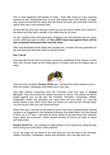This is what happened with people of Israel - Even after doing so many amazing miracles by the 'outstretched arm of God' and saving them from slavery of Egypt, they could not trust that the same God will stretch his hand and save them from the 'giants' they saw in the promised land.

As they did not trust God, they got cursed by God and all the adults had to perish in the desert and they had to wander in the wilderness for 40 years.

Vs.14b, 15bythen that entire generation of fighting men had perished from the camp, as the LORD had sworn to them. 15 **The LORD's hand was against them until he had completely eliminated them from the camp.**

After God eliminated all the adults who doubted him, he takes the next generation to the promised land tells them what he will do for them.

#### **Deu 7:16-26**

God says that he will send out hornets among the inhabitants of the Canaan to drive them out! Hornets make up the Vespa genus of insects, and are the largest type of wasp.



Apart from this Scripture, **Exodus 23:28** says: I will send the hornet ahead of you to drive the Hivites, Canaanites and Hittites out of your way.

Also after Joshua conquering most the Promised Land God says in **Joshua 24:11,12**" 'Then you crossed the Jordan and came to Jericho. The citizens of Jericho fought against you, as did also the Amorites, Perizzites, Canaanites, Hittites, Girgashites, Hivites and Jebusites, but I gave them into your hands. 12 I sent the hornet ahead of you, which drove them out before you--also the two Amorite kings. You did not do it with your own sword and bow.

When God says 'I sent the hornet ahead of you'it may mean sending literally sending hornets or as suggested in the following Scriptures, the angel whom God sent ahead of them. as vs 27 says "I will send my terror ahead of you and throw into confusion every nation you encounter." which caused enemies of God to run away or cause self destruction!

**Exodus 23:20**"See, I am sending an angel ahead of you to guard you along the way and to bring you to the place I have prepared.

Vs.23: My angel will go ahead of you and bring you into the land of the Amorites, Hittites, Perizzites, Canaanites, Hivites and Jebusites, and I will wipe them out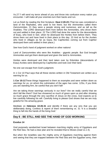Vs.27:"I will send my terror ahead of you and throw into confusion every nation you encounter. I will make all your enemies turn their backs and run.

Let us finish by reading the first Scripture: **Deut 2:20-23** (That too was considered a land of the Rephaites, who used to live there; but the Ammonites called them Zamzummites. 21 they were a people strong and numerous, and as tall as the Anakites. The LORD destroyed them from before the Ammonites, who drove them out and settled in their place. 22 The LORD had done the same for the descendants of Esau, who lived in Seir, when he destroyed the Horites from before them. They drove them out and have lived in their place to this day. 23 And as for the Avvites who lived in villages as far as Gaza, the Caphtorites coming out from Caphtor destroyed them and settled in their place.)

See how God's hand of judgment worked on other nations!

Land of Zamzummites who were like Anakites - gigantic people. But God brought Ammonites and got them destroyed and given the land to Ammonites.

Horites were destroyed and their land taken over by Edomites (descendants of Esau) Avvites were destroyed by Caphtorites and took over their land.

No one can escape from God's judgment.

In 1 Cor 10 Paul says that all these stories written in Old Testament are written as a warning for us.

**1 Cor 10:11**These things happened to them as examples and were written down as warnings for us, on whom the culmination of the ages has come. 12So, if you think you are standing firm, be careful that you don't fall!

Are we taking those warnings seriously in our lives? Are we really careful that we don't fall like them? God has showered so much of grace upon us and after showing so much grace through the very sacrifice of Jesus on the cross, God expects us to live carefully following his will. Carefully living to please God shows that we are truly grateful for His amazing grace.

Meditate on **Hebrews 10:26-31** and identify if there are any sins that you are deliberately doing. Confess & repent of them remembering vs. 31 'It is a dreadful thing to fall into the hands of the living God.'

## **Day 6 : BE STILL AND SEE THE HAND OF GOD WORKING**

#### **Exodus 14**

God purposely sandwiched Israel between marching mighty army of Egyptians and the Red Sea. He had a clear plan and he revealed that to Moses (read vs.1-4).

But when the Israelites saw the mighty army of Egyptians marching against them and seeing that they are trapped between the Red Sea and the Egyptian army, their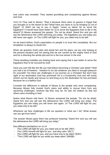true colors was revealed. They started grumbling and complaining against Moses and God.

Vs11-14 They said to Moses, "Was it because there were no graves in Egypt that you brought us to the desert to die? What have you done to us by bringing us out of Egypt? 12 Didn't we say to you in Egypt, 'Leave us alone; let us serve the Egyptians'? It would have been better for us to serve the Egyptians than to die in the desert!"13 Moses answered the people, "Do not be afraid. Stand firm and you will see the deliverance the LORD will bring you today. The Egyptians you see today you will never see again. 14 The LORD will fight for you; you need only to be still."

As we learnt before, God's expectation on people is to trust Him completely. But our temptation is always to doubt him.

When we question God's plan and doubt him and his plans, we are only looking at the present situation and not seeing that we are carried by the mighty hand of God and he is directing the whole plot and he is the true winner in the end.

These doubting Israelites are looking back and saying that it was better to serve the Egyptians than to be rescued by God!

Have you ever felt like the life you had before becoming a Christian was better? Well you had a lot of freedom - freedom to sin (do whatever you liked or brought pleasure for yourself)! Yes there are challenges in our journey as a Christian! But don't lose sight of our destination God has promised! He is a trustworthy God and will surely stretch out his hands and rescue us and bring us to the destination he has promised because he is a faithful God.

Consider the difference in attitude of Moses & the people who were complaining. Because Moses fully trusted God's plans and ability to rescue them from any upcoming challenges, however big they may be, he was not shaken by fear but others were trembling in fear!

Notice what Moses told them: 13 Moses answered the people, "Do not be afraid. Stand firm and you will see the deliverance the LORD will bring you today. The Egyptians you see today you will never see again. 14 The LORD will fight for you; you need only to be still."

Whenever we face challenges in life our question is 'what can I do'! What answer can you get from here?

The answer Moses gave them has profound meaning "Stand firm and you will see the deliverance the LORD will bring you today."

See different translations on vs.14

- The LORD will fight for you; you need only to be still."(NIV)
- The LORD himself will fight for you. Just stay calm."(NLT)
- The LORD will fight for you, and you have only to be silent."(ESV)
- "The LORD will fight for you while you keep silent."(NASB)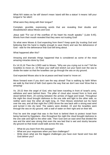What NIV states as 'be still' doesn't mean 'stand still like a statue' it means 'still your tongue'or 'be silent'.

What were they doing with their tongue?

Complain, grumble, expressing words that are revealing their doubts and dissatisfaction about Moses and God.

Jesus said "For out of the overflow of his heart his mouth speaks." (Luke 6:45). Words from their mouth revealed that they were not trusting God!

So what were Moses & God expecting from them? Keep quiet (by trusting God and believing that His hand is mighty enough to save them) and see the deliverance of God - wait for the deliverance that God will bring about.

What happened after this?

Amazing and dramatic things happened that is considered as some of the most amazing miracles done by God.

Ex 14:15,16 Then the LORD said to Moses, "Why are you crying out to me? Tell the Israelites to move on. 16 Raise your staff and stretch out your hand over the sea to divide the water so that the Israelites can go through the sea on dry ground.

God expected Moses also to be at peace and lead Israel to 'move on'.

Move forward even if you don't see the way ahead! That is walking by faith! When we walk by that kind of faith God opens the way that we don't see now! Wow that is amazing!

Vs. 20-22 then the angel of God, who had been traveling in front of Israel's army, withdrew and went behind them. The pillar of cloud also moved from in front and stood behind them, 20 coming between the armies of Egypt and Israel. Throughout the night the cloud brought darkness to the one side and light to the other side; so neither went near the other all night long. 21 Then Moses stretched out his hand over the sea, and all that night the LORD drove the sea back with a strong east wind and turned it into dry land. The waters were divided, 22 and the Israelites went through the sea on dry ground, with a wall of water on their right and on their left.

First he sent the angel that was in the front to behind them to protect Israel from being harmed by Egyptians. Also throughout the night the cloud brought darkness to the one side and light to the other side. Then God sent an east wind that divided the sea and the wind was strong that even the sea bed that is wet and slushy became dry ground so that Israel could walk across the sea.

- What do you learn from this passage?
- What are your responses when you face challenges?
- Write down what are the biggest challenges you have ever faced and how did God deliver you?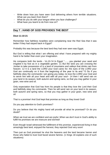- Write down how you have seen God delivering others from terrible situations. What can you learn from them?
- What do you do with your tongue when you face challenges?
- What have you learnt to do from now on?

## **Day 7 : HAND OF GOD PROVIDES THE BEST**

#### **Deut 11:10-21**

Remember how faithless Israelites were complaining near the Red Sea that it was better if they had stayed back in Egypt?

Probably this was because the best land they had ever seen was Egypt.

But God is telling that what I am offering and what I have prepared with my mighty hand is far better than even your imagination.

He compares both the lands - Vs.10-14 In Egypt "........you planted your seed and irrigated it by foot as in a vegetable garden. 11 But the land you are crossing the Jordan to take possession of is a land of mountains and valleys that drinks rain from heaven. 12 It is a land the LORD your God cares for; the eyes of the LORD your God are continually on it from the beginning of the year to its end."13 So if you faithfully obey the commands I am giving you today--to love the LORD your God and to serve him with all your heart and with all your soul-- 14 then I will send rain on your land in its season, both autumn and spring rains, so that you may gather in your grain, new wine and oil.

Only expectation that God has from his people is that they love the Lord their God and faithfully obey his commands. Then he will send rain on your land in its season, both autumn and spring rains, so that you may gather in your grain, new wine and oil.

That is a promise! And God kept that promise as long as they loved God!

Do you pay attention to God's promises?

Do you believe that His mighty hand will provide all what he promised? Or do you doubt?

When we trust we are confident and are joyful. When we don't trust in God's ability to fulfill his promises we are insecure and worried!

Even though Israel witnessed the fulfillment of this promise, experienced living in that amazingly best land, enjoyed the harvest, they rejected God very soon!

Then just as God promised he shut the heavens and the land became barren and those who failed to trust God faced severe famine. (1 Kings 18 explains one of such situations)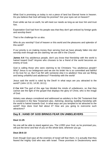What God is promising us today is not a piece of land but Eternal home in heaven. Do you believe that God will keep his promise? Are your eyes set on heaven?

Even while we live on earth, he will meet our needs as long as we love him and trust him.

Expectation God had from his people was that they don't get enticed by foreign gods and worship them!

That is the challenge for us also.

Who do you worship? God of heaven or this world and the pleasures and splendor of this world?

If our priority is on making money than serving God we have already fallen into idol worship even though we are claiming 'we are still in the Church'.

**James 4:4** You adulterous people, don't you know that friendship with the world is hatred toward God? Anyone who chooses to be a friend of the world becomes an enemy of God.

God is calling those who were claiming to be Christians 'You adulterous people'! Why? Jesus is our bridegroom and we are his bride! He is so committed and faithful in his love for us. But if we flirt with someone else it is adultery! How are we flirting and being unfaithful and adulterous? Friendship with the world!

Jesus said the world is ruled by the Devil! In what ways are you attracted to the world? (John 12:31; 14:30; 16:11)

**2 Cor 4:4** The god of this age has blinded the minds of unbelievers, so that they cannot see the light of the gospel that displays the glory of Christ, who is the image of God.

Idolatry was always considered and addressed as adultery in the Old Testament that is consistent in the New Testament also. Admiring; desiring; building friendship with the world is hatred towards God. In what ways are you tempted to be attracted to the world? How does God feel about it? How are you going to overcome such attractions?

## **Day 8 : HAND OF GOD BRINGS FEAR ON UNBELIEVERS**

#### **Deut 11:25**

No one will be able to stand against you. The LORD your God, as he promised you, will put the terror and fear of you on the whole land, wherever you go.

#### **Deut 28:6-10**

Even though God says all the enemies of Israel will fear them, it is actually that they feared the mighty God who was with Israel. These promises in Deuteronomy were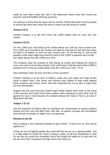made by God when Israel was still in the wilderness before they even faced any enemies and God fulfilled all those promises.

An instance is at the time the spies went to Jericho: Rahab tells them how the people of Jericho felt when they heard the news of what God was doing for Israel!

#### **Joshua 2:8-11**

Another instance is at the time when the LORD helped them to cross the river Jordan.

#### **Joshua 4:23,24**

For the LORD your God dried up the Jordan before you until you had crossed over. The LORD your God did to the Jordan just what he had done to the Red Sea when he dried it up before us until we had crossed over. 24 He did this so that all the peoples of the earth might know that the hand of the LORD is powerful and so that you might always fear the LORD your God."

The Scripture says the purpose of God drying up Jordan and helping the Israel to cross over was to let all other people of the earth know "that the hand of the LORD is powerful and so that you might always fear the LORD your God." Vs.24

Also remember when we fear God fear of men vanishes!

Another instance is at the time of Gideon. Israel was very weak and huge armies came to attack them. God chose one ordinary man Gideon to lead Israel against those enemies and rescue Israel. God also expected him not to take a huge army but only 300 people!

Imagine the fear and insecurity Gideon had! Finally Gideon went down to the camp of the enemies and heard what those soldiers were speaking to each other and he gained his trust in God because he realized already the hand of God is at work in filling them with fear.

#### **Judges 7:12-15**

See the response of Gideon after he overheard the conversation of enemy soldiers! Seeing how the Lord has filled them with fear, he gained courage and worshipped God and led his people on attack very courageously.

#### **Romans 8:31b-39**

Paul is asking a very important question to get us think - If God is for us, who can be against us?

Today we are not fighting battles like Israel did! But we are on a spiritual battle - this is a daily battle for whole life. Devil is trying to make us fall into temptations so that he can win our souls! But remember Jesus has fought the battle for us and won! So we are more than conquerors through Jesus who loved us!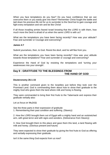When you face temptations do you fear? Do you have confidence that we can overcome them or you easily give into them? Remember Christ fought the battle and laid down his precious life not for us to surrender to the Devil but to gain courage and fight every temptation and win and be like Christ!

If all those invading armies feared Israel knowing that the LORD is with them, how much more the Devil is afraid of us when the same LORD is with us?

What are the temptations you have been facing recently? How was your attitude? Fear and surrender or Courage and overcoming?

#### **James 4:7**

Submit yourselves, then, to God. Resist the devil, and he will flee from you.

What are the temptations you have been facing recently? How was your attitude towards those temptations? Fear and surrender or courage and overcoming?

Experience the Hand of God by resisting the temptations and 'turning your weaknesses into your strength'.

# **Day 9 : GRATITUDE TO THE BLESSINGS FROM THE HAND OF GOD**

#### **Deuteronomy 26:1-15**

This is another command given to the Israelites just before they took over the Promised Land. God is commanding them about how to show their gratitude to the mighty God who gives them the land where milk and honey is flowing.

They were commanded to bring their first fruits to the Tabernacle and express their gratitude verbally also:

Let us focus on **Vs.3-11**

See the three parts in their expression of gratitude: 1. Remembering their past condition and suffering. (Slavery)

2. How the LORD brought them out of Egypt with a mighty hand and an outstretched arm, with great terror and with signs and wonders. (Deliverance from Slavery)

3. How God brought them to this place and gave them this land, a land flowing with milk and honey. (Glorious present and future)

They were expected to show their gratitude by giving the first fruits to God as offering and verbally expressing their gratitude.

Isn't it the same thing God expects from us now?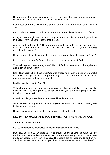Do you remember where you came from - your past? How you were slaves of sin! How hopeless was that life? You couldn't save yourself!

God stretched out his mighty hand and saved you through the sacrifice of his only son!

He brought you into His Kingdom and made you part of his family as a child of God!

Now you have the glorious life in His Kingdom and after this life on earth you will be in the real Promised Land - heaven for eternity!

Are you grateful for all this? Do you show gratitude to God? Do you give your first fruits and tithe and more to God? Or are you selfish and ungrateful keeping everything for yourself?

Do you verbally thank him remembering your past, present and the promised future?

Let us learn to be grateful for the blessings brought by the hand of God.

What will happen if we are ungrateful? Hand of God that saves us will be against us and crush us till we repent!

Read Duet 31:14-23 and see what God was predicting about the plight of ungrateful Israel! He even gave them a song to be taught to all Israel to remind them of their ungratefulness and to help them repent.

Meditate on that song in Duet 32

Write down your story - what was your past and how God delivered you and the blessings that God has given you so far and what you are surely going to receive from him in the future!

Once in a while (you set the frequency) read it and thank God.

As an expression of gratitude continue to give more and more to God in offering and to the poor and widows.

Decide to do something today to express your gratitude to God

## **Day 10 - NO WALLS ARE TOO STRONG FOR THE HAND OF GOD**

#### **Joshua 6 - Fall of Jericho**

Do you remember how Israelites grumbled against God and Moses?

**Duet 1:27,28** "The LORD hates us; so he brought us out of Egypt to deliver us into the hands of the Amorites to destroy us. 28Where can we go? Our brothers have made our hearts melt in fear. They say, 'The people are stronger and taller than we are; the cities are large, with walls up to the sky. We even saw the Anakites there.'"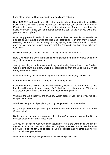Even at that time God had reminded them gently and patiently –

**Duet 1:29-31**Then I said to you, "Do not be terrified; do not be afraid of them. 30The LORD your God, who is going before you, will fight for you, as he did for you in Egypt, before your very eyes, 31and in the wilderness. There you saw how the LORD your God carried you, as a father carries his son, all the way you went until you reached this place."

How many powerful deeds of the Hand of God they had already witnessed? 10 plagues against Egypt, parting the Red Sea, destruction of mighty army of Egypt, receiving manna from heaven every morning, getting water from the rock…. the list goes on! Yet they got terrified knowing that the Promised Land has cities with very high walls.

Now God is bringing them to the first such city that they were afraid of!

Here God wanted to show them it is he who fights for them and they have to do only very little to capture such places.

Just by marching around the walls for 7 days and raising their voices on the 7th day, God brought down the mighty walls they described as that are up to the sky! What brought down the walls?

Is it their marching? Is it their shouting? Or is it the invisible mighty hand of God?

Is there any walls that are too strong for God to bring down?

Centuries after this incident, the walls of Nineveh, capital of 150 feet high walls that had the width on top of it good enough for 3 chariots to run abreast with 1200 towers was brought down when God brought the flooded river against it!

What are the walls that you are afraid of? Which areas of your city do you feel like Gospel cannot enter?

Which are the groups of people in your city that you feel like impenetrable?

Do you reject some people thinking that their hearts are too hard and will not let the Gospel enter?

By this you are not just misjudging people but also God! You are saying that God is so weak that he can't break those walls!

Are you not despising God with such thoughts? This is the worst thing we can do against God! On the other hand, when we completely trust Him and believe there are no walls too strong for God to breach, God is glorified and honored and he will accomplish what you believe.

Write down such things that you want to witness and pray to God.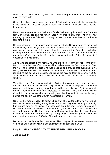When God breaks those walls, write down and let the generations hear about it and gain the same faith!

Some of us have experienced the hand of God working powerfully by turning the whole family to Christ by breaking down the walls of traditions, false beliefs, bitterness etc.

Here is such a great story of Saji Alex's family: Saji grew up in a traditional Christian family in Kerala. He and his family faced very intense challenges when he was growing up. When he finished schooling he was not sure what direction he has to take for his future.

He went along with a friend who wanted to join Catholic Seminary and he too joined the seminary. After few years of seminary life he realized that is not what he should continue and so he quit. After much struggle he got a job in Bangalore and while working there he was invited to the Church. The Bible studies helped him to clearly understand God's plan for his life and he became a disciple. But he faced a lot of opposition from his family.

As he was the eldest in the family, he was expected to earn and take care of the family. His mother was afraid that he will not take care of the family anymore. From the time he became a disciple he was desiring and praying that everyone in his family will also be saved. His brother Sojan came and stayed with him and took up a job and he too became a disciple. Saji joined the mission team to Cochin in 1992. Soon his sister Sheji became a disciple in Cochin. Saji got married to Sheeba in Cochin.

Then his brother Binu became a disciple. Saji kept praying for the rest of the family and his brother Biju and his wife Cinija came to Cochin to help Saji & Sojan to construct their house and they stayed back and became disciples. By this time their mother Leelamma became very interested in following Jesus but there was no Church in Kannur where she was residing with her husband. So the whole family prayed and soon in 2012 the Church was started in Kannur.

Saji's mother was so eager to follow Christ that she started attending the Church services in Kannur travelling a long distance from her village by spending 6 hours by bus (up and down). The biggest challenge was about his dad. He was an alcoholic. He had no interest in following Jesus all these years. But in 2013 he became very sick and was in the ICU for several days. During this time disciples from Kannur Church sincerely reached out to him by visiting, praying and serving him. With much prayer and perseverance Saji's dad Alexander repented and got baptized.

By this all his family members are saved. New chapter of the second generation coming to Christ began with Sojan's daughter getting baptized in 2014.

## **Day 11 : HAND OF GOD THAT TURNS HEAVENLY BODIES**

**Joshua 10:1-14**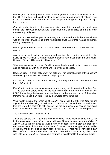Five kings of Amorites gathered their armies together to fight against Israel. Fear of the LORD and how He helps Israel to take over cities spread among all nations living in the 'Promised Land'. They might have thought if they gather together and fight they may win.

Gibeonites who lived in that region were wise enough to surrender to Israel even though their city was important and larger than many other cities and that all their men were good fighters.

(Joshua 10:2 He and his people were very much alarmed at this, because Gibeon was an important city, like one of the royal cities; it was larger than Ai, and all its men were good fighters.)

Five kings of Amorites set out to attack Gibeon and they in turn requested help of Joshua.

Joshua responded and got his army march against the enemies. Immediately the LORD spoke to Joshua "Do not be afraid of them; I have given them into your hand. Not one of them will be able to withstand you."

Whenever we set out to do God's will, however hard the task is, God is on our side and he will help us with his mighty hand to provide us success.

How can Israel - a small nation with few soldiers - win against armies of five nations? Well nothing is impossible when God is fighting for us!

It is not the strength of Joshua or his army that fought the battle and won but the hand of God did it.

First God threw them into confusion and many enemy soldiers ran for their lives. Vs. 11 "As they fled before Israel on the road down from Beth Horon to Azekah, the LORD hurled large hailstones down on them from the sky, and more of them died from the hailstones than were killed by the swords of the Israelites."

Who fought against the enemies of Israel? This is not the only time God fought against his enemies using natural forces. Study about how God used natural forces that are under his control to fight against the wicked nations and how he destroyed them. Praise God for His amazing ways. Gain faith and trust in God's saving hand.

The story is not over. Read vs.12-15

12 On the day the LORD gave the Amorites over to Israel, Joshua said to the LORD in the presence of Israel: "O sun, stand still over Gibeon, O moon, over the Valley of Aijalon."13 So the sun stood still, and the moon stopped, till the nation avenged itself on its enemies, as it is written in the Book of Jashar. The sun stopped in the middle of the sky and delayed going down about a full day. 14 There has never been a day like it before or since, a day when the LORD listened to a man. Surely the LORD was fighting for Israel! 15 Then Joshua returned with all Israel to the camp at Gilgal.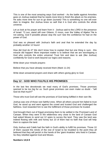This is one of the most amazing ways God worked - As the battle against Amorites goes on Joshua realized that he needs more time to finish the attack on his enemies. He asks more time for sun to go down (sunset)! This is something no one will ever dare to imagine. But Joshua knew so well that it is God who controls the whole universe.

Let us look at his prayer and learn from it - Joshua said to the LORD in the presence of Israel: "O sun, stand still over Gibeon, O moon, over the Valley of Aijalon."He is not asking, God if possible please stop the sun! See the confidence he had on the power of God.

God was so pleased with Joshua's faith and zeal that he extended the day by probably another 12 hours!

How did God do it? We don't know how to explain that but one thing is sure - this miracle did happen! More important matter is to believe that we are worshipping a God who controls the entire universe! Trust him and dare to ask (like Joshua) confidently for God to work beyond our logics and reasons.

Write down your miracle prayers:

Believe that you have already received them (Mark 11:24)

Write down answered prayers and share with others giving glory to God.

## **Day 12 : GOD WHO FULFILS HIS PROMISES**

In the last few devotionals we read many of God's promises. Those promises seemed to be too big for us. Such great promises can even make us doubt - "will God do that much?"

Those who trust God will see the promises of God being fulfilled in their own life.

Joshua was one of those rare faithful ones. When all others around him failed to trust God, he stood up and went against the crowd and trusted God and challenged the faithless. God rewarded him to see the fulfillment of those promises he trusted.

God brought them out of Egypt promising them to be settled in the Promised Land of Canaan. When they were in the wilderness very close to the land of Canaan God had asked Moses to send out 12 spies to survey the land. They saw the land was indeed flowing with milk and honey but 10 of them had no faith that God will help them to capture the land.

Only Joshua and Caleb had the faith in God's ability to fulfill his promises. Those 10 of them caused the minds of the rest of Israel to be troubled to the point they all believed that they will perish in the hands of the 'giant Anakites' who lived in Canaan. So they rebelled against God and Moses.

#### **Numbers 14;6-9**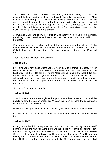Joshua son of Nun and Caleb son of Jephunneh, who were among those who had explored the land, tore their clothes 7 and said to the entire Israelite assembly, "The land we passed through and explored is exceedingly good. 8 If the LORD is pleased with us, he will lead us into that land, a land flowing with milk and honey, and will give it to us. 9 Only do not rebel against the LORD. And do not be afraid of the people of the land, because we will devour them. Their protection is gone, but the LORD is with us. Do not be afraid of them."

Joshua and Caleb had so much of trust in God that they stood up before a million grumbling faithless Israelites and proclaimed their faith in God's power to fulfill God's promises.

God was pleased with Joshua and Caleb but was angry with the faithless. So he cursed the faithless and made sure they wander in the desert for 40 days and perish. Only Joshua and Caleb who trusted God got a chance to step into the 'Promised Land'.

Then God made this promise to Joshua:

#### **Joshua 1:3-6**

**I** will give you every place where you set your foot, as I promised Moses. 4 Your territory will extend from the desert to Lebanon, and from the great river, the Euphrates—all the Hittite country—to the Mediterranean Sea in the west. 5 No one will be able to stand against you all the days of your life. As I was with Moses, so I will be with you; I will never leave you nor forsake you. 6 Be strong and courageous, because you will lead these people to inherit the land I swore to their ancestors to give them.

See the fulfillment of this promise:

#### **Joshua 11:16-23**

What happened to the Anakite giants that people feared {Numbers 13:32b,33 All the people we saw there are of great size. .We saw the Nephilim there (the descendants of Anak come from the Nephilim).

We seemed like grasshoppers in our own eyes, and we looked the same to them."}

Not only Joshua but Caleb was also blessed to see the fulfillment of the promises he trusted:

#### **Joshua 14:12-15**

Now give me this hill country that the LORD promised me that day. You yourself heard then that the Anakites were there and their cities were large and fortified, but, the LORD helping me, I will drive them out just as he said." 13 Then Joshua blessed Caleb son of Jephunneh and gave him Hebron as his inheritance. 14 So Hebron has belonged to Caleb son of Jephunneh the Kenizzite ever since, because he followed the LORD, the God of Israel, wholeheartedly. 15 (Hebron used to be called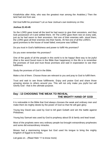KiriathArba after Arba, who was the greatest man among the Anakites.) Then the land had rest from war.

Did God fulfill his promises? Let us hear Joshua's own testimony on this:

#### **Joshua 21:43-45**

So the LORD gave Israel all the land he had sworn to give their ancestors, and they took possession of it and settled there. 44 The LORD gave them rest on every side, just as he had sworn to their ancestors. Not one of their enemies with- stood them: the LORD gave all their enemies into their hands. 45 Not one of all the LORD's good promises to the house of Israel failed; everyone was fulfilled.

Do you trust in God's faithfulness and power to fulfill His promises?

Do you even remember His promises?

One of the goals of all the people in this world is to be happy! Best way to be joyful (that is the word found more in the Bible than happiness) in this life is to remember the promises of God and trust those promises and wait in expectation to see their fulfillment.

Study the promises of God in the Bible.

Make a list of them. Choose those are relevant to you and pray to God to fulfill them.

Trust and wait to see those fulfillments. Enjoy and praise God and share those amazing stories to others around you. This will not only make you joyful but will Glorify God - that is the ultimate purpose.

## **Day : 13 CHOOSING THE WEAK TO REVEAL THE MIGHTY HAND OF GOD**

It is noticeable in the Bible that God always chooses the weak and ordinary men and make them do mighty deeds by the power of God so that He will gain glory.

Young boy David was used by God to kill giant Goliath and win the battle against Philistines.

Young boy Samuel was used by God to prophesy about Eli & family and lead Israel.

Most of the prophets were very ordinary people but brought extraordinary prophesies and some did extraordinary miracles.

Moses had a stammering tongue but God used his tongue to bring the mighty kingdom of Egypt to its knees.

List goes on…(Read Hebr 11 to know more)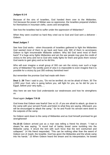#### **Judges 6:1-6**

Because of the sins of Israelites, God handed them over to the Midianites. Vs2.because the power of Midian was so oppressive, the Israelites prepared shelters for themselves in mountain clefts, caves and strongholds.

See how the Israelites had to suffer under the oppression of Midianites?

When they were crushed so hard they cried out to God and God sent a deliverer - Gideon.

#### **Read Judges 7**

See how God works - when thousands of Israelites gathered to fight the Midianites God wanted most of them to go back and have only 300 of them to accompany Gideon to fight innumerable Midianite soldiers. Why did God send most of them back? If a huge army fights Midianites and win the war people may give the credit of victory to the army and not to God who really fights for them and gives them victory! God wants to gain glory and so he did this.

Who will ever imagine a small group of 300 can win the victory over such a huge army of Midianites? By worldly point of view it is impossible to even imagine that it is possible for a victory by just 300 ordinary famished men!

But remember the promise God had made with them -

**Deut 1: 29** Then I said to you, "Do not be terrified; do not be afraid of them. 30 The LORD your God, who is going before you, will fight for you, as he did for you in Egypt, before your very eyes,….

Also here we see how God understands our weaknesses and how he strengthens us.

Read again **Judges 7:9-16** 

God knew that Gideon was fearful! See vs.10 10If you are afraid to attack, go down to the camp with your servant Purah $11$ and listen to what they are saying. Afterward, you will be encouraged to attack the camp." So he and Purah his servant went down to the outposts of the camp.

So Gideon went down to the camp of Midianites and as God himself promised he got strengthened!

**Vs.13-15** Gideon arrived just as a man was telling a friend his dream. "I had a dream,"he was saying. "A round loaf of barley bread came tumbling into the Midianite camp. It struck the tent with such force that the tent overturned and collapsed." 14 His friend responded, "This can be nothing other than the sword of Gideon son of Joash, the Israelite. God has given the Midianites and the whole camp into his hands." 15 When Gideon heard the dream and its interpretation, he bowed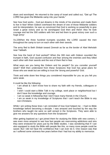down and worshiped. He returned to the camp of Israel and called out, "Get up! The LORD has given the Midianite camp into your hands."

See how God works - God put dreams in the minds of his enemies and made them to live in fear! When Gideon overheard the dream of one of those Midianite soldiers and its interpretation, he was so convinced that God is working so powerfully to give Israel a great victory and so he worshipped God then and there! Also he took courage and led the 300 soldiers with him and led them to great victory over such a huge army!

Vs.22When the three hundred trumpets sounded, the LORD caused the men throughout the camp to turn on each other with their swords.

The army fled to Beth Shittah toward Zererah as far as the border of Abel Meholah near Tabbath.

See how the hand of God worked? When the 300 men with Gideon sounded the trumpet in faith, God caused confusion and fear among the enemies and they killed each other with their swords and the rest of them fled in fear.

What ways are you being like Gideon and his people? Do you consider yourself weak? Well then understand from these Scriptures that God has great plans for those who are weak but are willing to trust the 'strong and powerful' God.

Think and write down few things you considered impossible for you as you felt you were weak.

It could be like the following:

- I am afraid & I don't know how to share my faith with my friends, colleagues or boss.
- I wish I could start a Bible Talk in my college, work place or neighborhood but I don't have the knowledge and courage.
- I am so weak in fellowship that I don't have many friends in the Church.
- I am so weak in my knowledge of Scriptures that I can't teach the Bible to any non-Christians.

While I am writing these lines I am reminded of how God helped me - I had no Bible knowledge before becoming a disciple. I was amazed and touched by the way the brothers who taught me were so well versed in the Scriptures. They were able to give me answers for any questions from the Scriptures!

After getting baptized as I got joined them for studying the Bible with new comers, I was even more amazed to see how fast people are overcoming addictions and sins they were enslaved for years just by the Bible studies. I was wondering that if I can also equipped to study the Bible with people like this, so many more people could be saved. But I did not have the confidence that I can ever do it. One reason was that as I suffered some sickness few years before that I had lost my ability to memorize.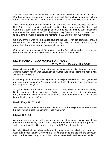This had seriously affected my education and work. Then it dawned on me that if God has changed me so much and as I witnessed, God is chaining so many others around me, then why can't I pray for God to help me regain my ability to memorize?

Also I remembered that after baptism I am not alone but I have received the gift of Holy Spirit. I started praying and started making efforts to memorize Scriptures and Guard the Gospel studies. Amazingly soon God helped my brain to start functioning much better than ever before. With the help of Holy Spirit and other brothers I learnt to do Guard the Gospel studies and memorized 100 Scriptures in two months!

So many of them with whom I started studying the Bible even got baptized. I know it so well that I am still very weak but it is not my ability or power but it is truly the power God that works through weak people like me!

Gain faith from the example of Gideon and pray that God will strengthen you and use you powerfully in the areas you are afraid you are weak and helpless.

## **Day 14 HAND OF GOD WORKS FOR THOSE WHO WANT TO GLORIFY GOD**

Hezekiah was the king of Judah. {Remember Israel was divided into two nations : Judah(Southern nation with Jerusalem as capital) and Israel (Northern nation with Samaria as capital).}

In the early years of Hezekiah's reign nation of Assyria attacked and destroyed Israel and took many people into Assyria as captives (Exile of Israel) This is mentioned in the first part of 2 Kings 18.

Assyrians were very powerful and very wicked - they were known for their cruelty. Bent on conquest, they now attacked Judah assuming that it must be much more easy to capture this smaller nation. But they did not understand that this small nation is worshipping the great God!

#### **Read 2 Kings 18:17-19:37**

See what Hezekiah did when he read the letter from the Assyrians! He was scared but took refuge in God the almighty. Read his prayer:

#### **2 Kings 19:14-19**

Assyrians were boasting that none of the gods of other nations could save those nations from the mighty hand of their king! So they were threatening the people of Judah not to trust Hezekiah when he says 'the LORD will deliver them.

But King Hezekiah had clear understanding that those so called gods were only wood and stone! Read vs.18They have thrown their gods into the fire and destroyed them, for they were not gods but only wood and stone, fashioned by men's hands.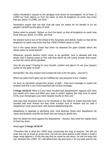Notice Hezekiah's request to the almighty God whom he worshipped: Vs.19 Now, O LORD our God, deliver us from his hand, so that all kingdoms on earth may know that you alone, O LORD, are God."

Hezekiah's prayer was not that God will save his nation for his benefit or for his people's benefit but the glory of God!

Notice what he prayed: "deliver us from his hand, so that all kingdoms on earth may know that you alone, O LORD, are God."

He wanted God to act on the threat of the Assyrians and deliver Judah so that all the kingdoms on earth may know that the LORD (YHWH) alone is God!

Isn't it the same desire David had when he attacked the giant Goliath whom the whole nation of Israel feared?

Whenever anyone desires God's name to be glorified, God is pleased with that desire and if anyone prays to Him with that desire he will surely answer that prayer so that His name will be glorified.

How do you pray? Praying for your benefit, comfort and glory? Or are your prayers purely for the glory of God?

Remember: the very reason God created all men is for His glory - (Isa 43:7).

When we seek God's glory we are fulfilling the very purpose of our creation.

As soon as Hezekiah prayed this prayer of faith - God sent message to Isaiah the prophet and this is one most important part of that message:

**2 Kings 19:22,23** "Who is it you have insulted and blasphemed? Against who have you raised your voice and lifted your eyes in pride? Against the Holy One of Israel! 23 By your messengers you have heaped insults on the Lord."

God says that Assyrians that it is not Hezekiah or the nation of Judah that they have insulted with their threats but they have insulted God of heaven and he calls it 'blasphemy'! God cannot bear with anyone blaspheming him.

Blasphemy is opposite to glorifying God. God destroys those who blaspheme his name and protects and lifts up those who are trying to glorify him.

Now he raised his hand against the blasphemer - Assyria. See what the mighty hand of God has done:

#### Read again **2 Kings 19:32-37**

"Therefore this is what the LORD says concerning the king of Assyria: "He will not enter this city or shoot an arrow here. He will not come before it with shield or build a siege ramp against it. 33 By the way that he came he will return; he will not enter this city, declares the LORD. 34 I will defend this city and save it, for my sake and for the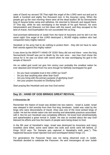sake of David my servant."35 That night the angel of the LORD went out and put to death a hundred and eighty five thousand men in the Assyrian camp. When the people got up the next morning--there were all the dead bodies! 36 So Sennacherib king of Assyria broke camp and withdrew. He returned to Nineveh and stayed there. 37 One day, while he was worshiping in the temple of his god Nisroch, his sons Adrammelech and Sharezer cut him down with the sword, and they escaped to the land of Ararat. And Esarhaddon his son succeeded him as king.

God promised deliverance of Judah from the hand of Assyrians and he did it on the same night! One angel of the LORD destroyed 1, 85,000 mighty soldiers who had conquered many mighty nations!

Hezekiah or his army had to do nothing to protect them - they did not have to raise their swords against this mighty nation!

It was done by the MIGHTY HAND OF GOD! Story did not end there - even the king Sennacherib himself was put to death by his own sons - see how God chose the venue for it: he was cut down with sword when he was worshipping his god in the temple of Nisroch!

His so called god could not give him victory over probably the smallest nation he ever attacked and himself from his sons though he faithfully worshipped his god!

- Do you have complete trust in the LORD our God?
- Do you fear anything else other than God?
- Are you living with the primary purpose of glorifying God?
- Are your prayers focused on Glorifying God?

Start praying like Hezekiah and see how God works!

## **Day 15 : HAND OF GOD BRINGS GREAT REVIVAL**

#### **2 Chronicles 30**

Remember the Nation of Israel was divided into two nations - Israel & Judah. Israel was steeped in idol worship from their first king Jeroboam. Judah was ruled by the kings who were descendants of David. Ahaz was one of the most wicked kings of Judah. He led the whole nation into idol worship and detestable practices associated with it. But his son Hezekiah was completely different. He loved God wholeheartedly and spearheaded a great revival in Judah. He was so excited about the way God blessed his efforts and how the hearts of people were being drawn to God.

In the 6th year of Hezekiah's reign, Israel was destroyed by Assyrians and many Israelites were killed, some were taken into exile and some were left behind. (2 Kings 18:10 says "So Samaria was captured in Hezekiah's sixth year,"). This happened because Israel rejected God and worshipped idols(2 Kings 17).

For generations the Passover feast was not being observed even in Judah. Hezekiah decided to celebrate the Passover. He sent messengers all over Judah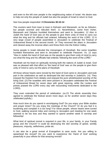and even to the left over people in the neighbouring nation of Israel. His desire was to help not only the people of Judah but also the people of Israel to return to God.

#### See how people responded: **2 Chronicles 30:10-14**

The couriers went from town to town in Ephraim and Manasseh, as far as Zebulun, but people scorned and ridiculed them. 11 Nevertheless, some from Asher, Manasseh and Zebulun humbled themselves and went to Jerusalem. 12 Also in Judah the hand of God was on the people to give them unity of mind to carry out what the king and his officials had ordered, following the word of the LORD. 13 A very large crowd of people assembled in Jerusalem to celebrate the Festival of Unleavened Bread in the second month. 14 They removed the altars in Jerusalem and cleared away the incense altars and threw them into the Kidron Valley.

Some people in Israel ridiculed the messengers of Hezekiah. But some Israelites humbled themselves and went to Jerusalem to celebrate Passover. Vs. 12 says "Also in Judah the hand of God was on the people to give them unity of mind to carry out what the king and his officials had ordered, following the word of the LORD."

Hezekiah set his heart on spiritually reviving both the nations of Judah & Israel. God was so pleased with that effort so 'the hand of God' was on the people to give them unity of mind to carry out the plans of Hezekiah.

All those whose hearts were moved by the hand of God came to Jerusalem and took part in the celebration as well as destroyed the idol worship in Judah(Vs. 14). They enjoyed the freedom from idolatry and enjoyed the pure wholehearted worship of the living God. (21The Israelites who were present in Jerusalem celebrated the Festival of Unleavened Bread for seven days with great rejoicing, while the Levites and priests praised the LORD every day with resounding instruments dedicated to the LORD).

They even extended the period of celebration. (vs.23 The whole assembly then agreed to celebrate the festival seven more days; so for another seven days they celebrated joyfully.)

How much time do you spend in worshipping God? Do you enjoy your Bible studies and prayer times? Do you enjoy the meetings of the Church? Or do you feel it is burdening and complain it is too long? For these people, whose hearts were turned to God, walking several miles and coming to Jerusalem and meeting for one week seemed to be too less and they wanted to spend another week in worship and fellowship!

What kind of spiritual revival is required in your life, in your family, in your Family group and the Church? It could be destroying the idol worship of greed, worldly pleasures, impurity, selfishness, pride etc.

It can also be a great revival of Evangelism to save souls. Are you willing to spearhead the revival? Do you want to experience the 'Hand of God' working powerfully in your efforts for that amazing revival?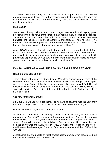You don't have to be a king or a great leader starts a great revival. We have the greatest example in Jesus - he had no position given by the people in the world for him to start the revival. His heart was moved by seeing the spiritual condition of the people around him.

#### **Matt 9:35-38**

Jesus went through all the towns and villages, teaching in their synagogues, proclaiming the good news of the kingdom and healing every disease and sickness. 36 When he saw the crowds, he had compassion on them, because they were harassed and helpless, like sheep without a shepherd. 37 Then he said to his disciples, "The harvest is plentiful but the workers are few. 38. Ask the Lord of the harvest, therefore, to send out workers into his harvest field."

Jesus 'SAW' the needs of people and that aroused his compassion for the lost. Pray to God to open your eyes and ears to see and hear the needs of people (both lost and saved - including you and your family) around you. Write them down and with prayer and dependence on God & with advice from other matured disciples around you and start a revival to meet those needs for the glory of God.

## **Day 16 : WINNING A WAR JUST BY SINGING PRAISES TO GOD**

#### **Read: 2 Chronicles 20:1-30**

Three nations got together to attack Judah - Moabites, Ammonites and some of the Meunites. It was a vast army against a small nation with little strength. Jehoshaphat was the King of Judah at that time. He was a good king who trusted God. He had options to either surrender or fight and get defeated or to seek the military alliance of some other nations. But he did not do any of them but turned to God for the help of his mighty hand!

See how Jehoshaphat prayed:

12 O our God, will you not judge them? For we have no power to face this vast army that is attacking us. We do not know what to do, but our eyes are upon you."

God answered his prayer of faith through a prophet:

**Vs 15-17** 'Do not be afraid or discouraged because of this vast army. For the battle is not yours, but God's.16 Tomorrow march down against them. They will be climbing up by the Pass of Ziz, and you will find them at the end of the gorge in the Desert of Jeruel. 17 You will not have to fight this battle. Take up your positions; stand firm and see the deliverance the LORD will give you, O Judah and Jerusalem. Do not be afraid; do not be discouraged. Go out to face them tomorrow, and the LORD will be with you.' "

Jehoshaphat and the people of Judah trusted God's promise even though God did not specify how he will defeat the enemies.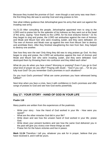Because they trusted the promise of God - even though a vast army was near them the first thing they did was to worship God and sing praises to him.

See what military guidance that Jehoshaphat gave his army that went out against the invading vast army:

Vs.21-23 After consulting the people, Jehoshaphat appointed men to sing to the LORD and to praise him for the splendor of his holiness as they went out at the head of the army, saying: "Give thanks to the LORD, for his love endures forever." 22 As they began to sing and praise, the LORD set ambushes against the men of Ammon and Moab and Mount Seir who were invading Judah, and they were defeated. 23 The men of Ammon and Moab rose up against the men from Mount Seir to destroy and annihilate them. After they finished slaughtering the men from Seir, they helped to destroy one another.

See how they won the war! Only thing they did was to sing praises go God. As they began to sing and praise, the LORD set ambushes against the men of Ammon and Moab and Mount Seir who were invading Judah, and they were defeated. God destroyed them by throwing them into confusion and they killed each other!

What do you do when you face crises? Worrying or praising? Even if you go to God what kind of prayer do you offer? Praying with doubt - "God if you can...."Or do you fully trust God? Do you remember God's promises in such situations?

Do you trust God's promises? What are some promises you have witnessed being fulfilled?

Next time when you face a crisis, face it with confidence in God's promises and offer songs of praises to God and see how God works powerfully.

## **Day 17 : YOUR STORY - HAND OF GOD IN YOUR LIFE**

#### **Psalm 118**

Many psalms are written from the experiences of the psalmists.

- Write your story how the Hand of God worked in your life How were you saved?
- What are the other miracles God did in your life?
- Write down and see how the unseen hand of God worked in your life; praise God.
- Write down your present burdens and see how the same God delivered you in the past will give you victory over these things as well.
- Praise him for the future victories and live in peace.

**Mark 11:24** Therefore I tell you, whatever you ask for in prayer, believe that you have received it, and it will be yours.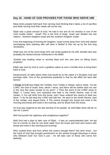## **Day 18 : HAND OF GOD PROVIDES FOR THOSE WHO SERVE HIM**

Many times people hold back from serving God thinking that it takes a lot of sacrifice and while serving God their needs will not be met.

Elijah was a great servant of God. He had to live and do his ministry in one of the most hostile nation - Israel! This is the time of kings. Israel was divided into two nations - Northern kingdom Israel and the southern kingdom Judah.

From the beginning of forming the kingdom, Israel turned away from God and started worshipping idols (starting with calf idols in Bethel & Dan set up by the first king Jeroboam).

Ahab was one of the worst kings who rule Israel guided by his wife Jezebel who was probably the wicked woman mentioned in the Bible!

Jezebel was leading Israel to worship Baal and she was bent on killing God's prophets!

Elijah was sent by God to such a godless nation at such a terrible time to bring them back to God.

Deuteronomy 32 talks about what God would do to the nation if it forsakes God and worships idols. One of the punishment predicted is that he will afflict the land with famine!

**1 Kings 17:1-6** Now Elijah the Tishbite, from Tishbe in Gilead, said to Ahab, "As the LORD, the God of Israel, lives, whom I serve, and there will be neither dew nor rain in the next few years except at my word." 2 Then the word of the LORD came to Elijah: 3 "Leave here, turn eastward and hide in the Kerith Ravine, east of the Jordan. 4 You will drink from the brook, and I have ordered the ravens to feed you there." 5 So he did what the LORD had told him. He went to the Kerith Ravine, east of the Jordan, and stayed there. 6 The ravens brought him bread and meat in the morning and bread and meat in the evening, and he drank from the brook.

As God was angered by the idol worship of his people, he told Elijah there will be no rain for 3 years!

Will God punish the righteous and unrighteous together?

Well God had a plan to take care of Elijah - it was an unprecedented plan. He led him to a brook so that he can drink water from the brook and God sent ravens with bread and meat in the morning and evening!

Who cooked them and from where the ravens brought them? We don't know - but the hand of God that brought punishment on the wicked brought blessings to those who followed God! Our God is just – he will take care of those who serve him faithfully.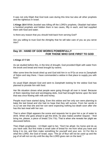It was not only Elijah that God took care during this time but also all other prophets and the righteous in Israel.

**1 Kings 18:4** While Jezebel was killing off the LORD's prophets, Obadiah had taken a hundred prophets and hidden them in two caves, fifty in each, and had supplied them with food and water.

Is there any reason that you should hold back from serving God?

Are you willing to trust God the Almighty that he will take care of you as you serve Him?

## **Day 19 : HAND OF GOD WORKS POWERFULLY FOR THOSE WHO GIVE FIRST TO GOD**

#### **1 Kings 17:7-24**

As we studied before this, in the time of drought, God provided Elijah with water from the brook and bread and meat brought by ravens.

After some time the brook dried up and God told him in vs 9"Go at once to Zarephath of Sidon and stay there. I have commanded a widow in that place to supply you with food."

As usual Elijah obeyed God and went to Zarephath looking for the widow God has planned to provide him with food.

Her life situation shows what people were going through all over in Israel. Because of them rejecting God and worshipping idols, God had brought famine upon the land that was once flowing with milk and honey.

People must have started dying. Even this widow and her only son were planning to bake the last bread and she had no hope that they will survive. From her words in vs.12 we see that she and her son were expecting nothing but death soon after she has this last meal with her son.

That is when Elijah appears the scene and requests her to give him a jar of water to drink. When she goes ahead to get the drink, he also makes another request - "And bring me, please, a piece of bread."(Vs.11b). That is when she reveals her plight we discussed before.

Then Elijah prophesies : 13 Elijah said to her, "Don't be afraid. Go home and do as you have said. But first make a small cake of bread for me from what you have and bring it to me, and then make something for yourself and your son. 14 For this is what the LORD, the God of Israel, says: 'The jar of flour will not be used up and the jug of oil will not run dry until the day the LORD gives rain on the land.' "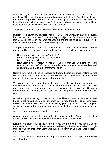What will be your response if someone says like this when you are in her situation? I may think: "This must be someone who has come to trick me"or "what if this doesn't happen as he predicts? What if the flour and oil gets over when I bake bread for him? Then what will be our plight? "or "Let me bake a bread for my son first and then if the flour and oil remains I will bake one for this man."

These are all thoughts out of insecurity fear and lack of trust in God!

But let us see how this widow responded: Vs.15,16 She went away and did as Elijah had told her. So there was food every day for Elijah and for the woman and her family. 16 For the jar of flour was not used up and the jug of oil did not run dry, in keeping with the word of the LORD spoken by Elijah.

This poor widow had so much trust in God that she obeyed the instructions of Elijah and so God blessed her and her son to be well taken care till the famine ended.

- How are your faith and trust in God tested?
- What is your response when you are tested?
- Do you doubt or trust?
- How about giving contribution/offering to God? Is that your 1<sup>st</sup> priority after you receive your income? Or do you consider what are your expenses first and consider giving to God later or from the 'left over'?

Satan always want to keep us insecure and worried about our future making us feel like 'you need to take of yourself'' no one else will care for you'' God and the Church are selfish - they are demanding more from you' etc.

This widow could have thought about the prophet like this 'what a selfish man he is see what he says "But first make a small cake of bread for me from what you have and bring it to me, and then make something for yourself and your son." He wants the first portion - he is not telling - bake and eat first portion and then give me the rest!

Is God wrong in expecting you to give the first and best to HIM? He is not selfish and he can exist without you giving him anything. He was there fully taken care even before you ever existed. But he is expecting you to give first to him for your wellbeing. Because he knows that your whole life till eternity depends on you loving him

with all your heart and giving him the first priority.

Also notice another miracle happened in the same period of Elijah's stay with this widow's family. Her only son became ill and died bringing terrible grief.

Elijah felt the same grief for the loss of this boy and he took the boy into his upper room and cried out to God three times and God brought the boy back to life. Through this she was convinced that Elijah was truly the prophet of God and that he speaks the word of God!

Study Jeremiah 17:5-9 See the blessings and curses from God depends on where we put our trust!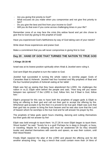- Are you giving first priority to God?
- What excuses do you make when you compromise and not give first priority to him?
- Do you give the best and first from your income to God?
- Will you do that even if you come across challenging times in your life?

Remember none of us may face the crisis this widow faced and yet she chose to give first to God (by giving to the prophet of God)!

Have you experienced God's faithfulness by way of God taking care of your needs?

Write down those experiences and praise God.

Make a commitment that you will never compromise in giving first to God.

## **Day 20 : HAND OF GOD THAT TURNED THE NATION TO TRUE GOD**

#### **1 Kings 18:16-46**

Israel was at its lowest position spiritually when Ahab & Jezebel were ruling it.

God sent Elijah the prophet to turn the nation to God.

Jezebel had succeeded in turning the whole nation to worship pagan Gods of Cananites Baal & Asherah. Jezebel had four hundred and fifty prophets of Baal and the four hundred prophets of Asherah eating at her table!

Elijah was fed up seeing that they have abandoned the LORD. He challenges the nation in vs.21 Elijah went before the people and said, "How long will you waver between two opinions? If the LORD is God, follow him; but if Baal is God, follow him."

Elijah's proposal for this was to have both the prophets of pagan gods & Elijah to bring an offering to their god and call out their god to accept the offering by fire. Whichever god accepts it by fire then it is proved to be true god. Elijah was sure that their god has no power to bring fire from heaven and he was also sure that the Lord of heaven whom he worships is the true God and he will answer his prayer by fire.

The prophets of false gods spent hours chanting, dancing and cutting themselves but their gods did not answer by fire!

Elijah was bold enough to taunt them: Vs.27,28 At noon Elijah began to taunt them. Shout louder!" he said. "Surely he is a god! Perhaps he is deep in thought, or busy, or traveling. Maybe he is sleeping and must be awakened."28 So they shouted louder and slashed themselves with swords and spears, as was their custom, until their blood flowed.

Finally Elijah repaired the altar of the LORD and placed the offering and he did another amazing thing - he dug a trench that could contain more than 14 litres of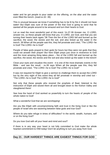water and he got people to pour water on the offering, on the altar and the water even filled the trench. (read:vs.32- 39)

This is unusual because we know if something has to be lit by fire it should not have water! But Elijah was sure of the power of fire that God is going to send that he wanted all the people around to be amazed and turn their hearts to God.

Let us read the most wonderful part of this event: Vs.37-39 Answer me, O LORD, answer me, so these people will know that you, O LORD, are God, and that you are turning their hearts back again."38 Then the fire of the LORD fell and burned up the sacrifice, the wood, the stones and the soil, and also licked up the water in the trench. 39 When all the people saw this, they fell prostrate and cried, "The LORD--he is God! The LORD--he is God!"

People of false gods prayed to their gods for hours but they were not gods that they could not answer their prayer! But here Elijah prays just once in reverence to God and the most amazing thing takes place – fire of the LORD fell and burned up the sacrifice, the wood, the stones and the soil and also licked up the water in the trench!

Close your eyes and visualize this event - it is one of the most dramatic events in the Bible - and see the result - vs.39 says When all the people saw this, they fell prostrate and cried, "The LORD--he is God! The LORD--he is God!"

It was not required for Elijah to give a sermon to challenge them to accept the LORD but by the very sight of this event they all fell prostrate in worship and cried out - "The LORD--he is God! The LORD--he is God!"

Not only that these people who revered the prophets of Baal, listened to the instruction of Elijah and seized them all and brought down to the Kishon Valley and slaughtered there!

See how the hand of God worked so powerfully to turn the hearts of people of the whole nation to God!

What a wonderful God that we are worshipping!

Are you like Elijah with uncompromising faith and trust in the living God or like the people of Israel who are wavering between false gods and true God?

Where do you take refuge in times of difficulties? In the world, wealth, humans, self or on the living God?

Do you love God with all your heart and mind and soul?

If there is in any way your heart is not fully committed to God make the whole hearted commitment to HIM today! Don't let anything to turn you away from God.

## **Day 21 : OUR HARDEST THINGS ARE EASIEST THINGS FOR GOD**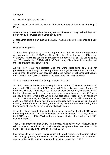### **2 Kings 3**

Israel went to fight against Moab.

Joram king of Israel took the help of Jehoshaphat king of Judah and the king of Edom.

After marching for seven days the army ran out of water and they realised they may perish not by the swords of Moabites but by thirst!

Jehoshaphat being a man trusting the LORD, wanted to seek the guidance and help of God.

Read what happened:

11 But Jehoshaphat asked, "Is there no prophet of the LORD here, through whom we may inquire of the LORD?" An officer of the king of Israel answered, "Elisha son of Shaphat is here. He used to pour water on the hands of Elijah." 12 Jehoshaphat said, "The word of the LORD is with him." So the king of Israel and Jehoshaphat and the king of Edom went down to him.

As we know Israel had rejected God and were worshipping only idols for generations! Even though God sent prophets like Elijah & Elisha they did not fully give up their idol worship! Just because Elisha had respect for Jehoshaphat because he feared the LORD, Elisha offered to inquire of the LORD on their behalf.

So he asked for a harpist to be brought and play the harp.

Vs.16-20 While the harpist was playing, the hand of the LORD came on Elisha 16 and he said, "This is what the LORD says: I will fill this valley with pools of water. 17 For this is what the LORD says: You will see neither wind nor rain, yet this valley will be filled with water, and you, your cattle and your other animals will drink. 18 This is an easy thing in the eyes of the LORD; he will also deliver Moab into your hands. 19 You will overthrow every fortified city and every major town. You will cut down every good tree, stop up all the springs, and ruin every good field with stones." 20 The next morning, about the time for offering the sacrifice, there it was—water flowing from the direction of Edom! And the land was filled with water.

{It is interesting to note that instead of the regular phrase 'Spirit of the LORD came up on the prophet' or 'Word of God came to the prophet' here in Vs15b says 'hand of the LORD came on Elisha'("While the harpist was playing, the hand of the LORD came on Elisha".)}

Then Elisha prophesied that God will fill the valley with pools of water without wind or rain! So that all the soldiers and their animals can quench their thirst. Also vs. 18 says -This is an easy thing in the eyes of the LORD.

It is impossible for us to even imagine such a thing will happen - without rain without any one digging wells, the whole valley being filled with water all of a sudden! But such an unbelievable matter is 'an easy thing in the eyes of the LORD'!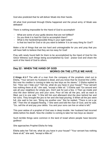God also predicted that he will deliver Moab into their hands.

All what God promised through Elisha happened and the proud army of Moab was defeated!

There is nothing impossible for the Hand of God to accomplish!

- What are some of your godly desires that are not fulfilled?
- Do you think it is hard for God to accomplish them?
- What is the hardest/impossible thing in your sight today?
- Is that too hard for God or do you want to believe 'it is an easy thing for God'?

Make a list of things that are too hard and unimaginable for you and pray that you will have faith to believe that they are too easy for God!

Pray with newly found faith for them to be accomplished by the Hand of God for His Glory! Witness such things being accomplished by God - praise God and share the work of the Hand of God to others.

# **Day 22 : WHEN THE HAND OF GOD WORKS ON THE LITTLE WE HAVE**

**2 Kings 4:1-7** The wife of a man from the company of the prophets cried out to Elisha, "Your servant my husband is dead, and you know that he revered the LORD. But now his creditor is coming to take my two boys as his slaves." 2 Elisha replied to her, "How can I help you? Tell me, what do you have in your house? "Your servant has nothing there at all," she said, "except a little oil." 3 Elisha said "Go around and ask all your neighbors for empty jars. Don't ask for just a few. 4 Then go inside and shut the door behind you and your sons. Pour oil into all the jars, and as each is filled, put it to one side." 5 She left him and afterward shut the door behind her and her sons. They brought the jars to her and she kept pouring. 6 When all the jars were full, she said to her son, "Bring me another one." But he replied, "There is not a jar left." Then the oil stopped flowing. 7 She went and told the man of God, and he said, "Go, sell the oil and pay your debts. You and your sons can live on what is left."

This poor widow of a prophet of God was in deep trouble. Her husband had incurred debts before his death. Now the creditor is coming to take her two boys as slaves!

Such terrible things were common in the land of Israel where people have become godless!

She approaches Prophet Elisha for help.

Elisha asks her Tell me, what do you have in your house? "Your servant has nothing there at all," she said, "except a little oil."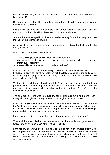By human reasoning what can she do with that little oil that is left in her house? Nothing at all!

But when you give that little oil you have to the hand of God – we never know how much that can become!

Elisha asks her to collect as many jars from all her neighbors and then close the door and pour that little oil into those jars filling them one by one!

She and her sons obeyed it word by word and when they finished pouring the oil into the last jar, the oil stopped flowing.

Amazingly that much oil was enough her to sell and pay back the debts and for the family to live on!

What a faithful and powerful God we have!

- Are we willing to seek advice when we are in trouble?
- Are we willing to follow the advice when someone gives advice that does not match our reasoning?
- Are we willing to entrust God with the little we have?

-

In Nov 2013 my son had his birthday. I asked him what does he want for his birthday. He didn't say anything. Later on with hesitation he came to me and said he would like to get a graphic tablet for drawing. Then I asked how much it will cost. He said it will cost Rs.7, 000/-!

That was too much for me! I said sorry I don't have so much money now but let us pray and when I have enough money I will get it. Then I started wondering - my son does not ask anything much and what kind of father I am if I can't give him something when he asks?

The only option for me was to reduce my contribution and buy him the gift. Then I thought it is not right for me to give less to God to give more for my son!

I resolved to give first to God and wait. In that same week the person who stays in the 1st floor of our house requested me to help him fix a window mesh. When I went to help him I asked him about what type of graphic tablet is good because he being a graphic artist I had seen him using one before.

Immediately he said I have one that I am not using you can take it right now!

Then and there he pulled out his brief case and took the tablet and gave me and I asked how much I should pay him! He said - 'nothing'!

I am not saying that we should give to God in expectation of something from God. But the point is to trust God that he is our father who knows our needs before even we see it and he is concerned about us and so he will meet our needs even if we feel like we have only little. And never hold back in giving to God even when we feel like we have only little!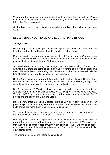Write down the situations you were in dire trouble and how God helped you. Praise God about that and remind yourself every time you face similar situations in the future that God is in control.

Seek advice in every such situation and follow the advice than following your own ways.

## **Day 23 : OPEN YOUR EYES AND SEE THE HAND OF GOD**

#### **2 Kings 6:8-23**

Even though Israel was steeped in idol worship that God hates as adultery, when Israel was in trouble God helped them through his prophet Elisha.

Powerful kingdom of Aram waged war against Israel. But the Hand of God was upon Israel - God who knows the thoughts and attitudes of men revealed the schemes and plans to the king of Israel through Elisha the prophet.

So Israel could have strategic advantage over Arameans. King of Aram was assuming that there are some spies in his camp reporting to the King of Israel. But one of his own officers told the king, "but Elisha, the prophet who is in Israel, tells the king of Israel the very words you speak in your bedroom."

So the King of Aram sent a powerful armed troop to capture Elisha in Dothan. They surrounded the city and in the morning when the servant of Elisha got frightened when he went out and saw the huge army surrounding the city.

But Elisha said: vs.16 "Don't be afraid, those who are with us are more than those who are with them."17 And Elisha prayed, "O LORD, open his eyes so he may see." Then the LORD opened the servant's eyes, and he looked and saw the hills full of horses and chariots of fire all around Elisha.

Do you know there are spiritual forces guarding us? They can't be seen by our physical eyes! Even if an army surrounds us those hordes of angels who are around us to protect are more than those who come against us!

The moment the servant's eyes were opened and as soon as he saw the chariots of fire around him, his fear left and he got so confident!

We may never have that experience but we must have faith that God and his powerful angels are around us fighting the good fight to protect us! When we have that faith we don't panic or fear or worry in any situation. Rather we can be at peace even amidst all turmoil around us. When we trust God like that God helps us with his outstretched arms.

The latter part is interesting - Read again vs 18-23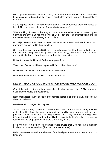Elisha prayed to God to strike the army that came to capture him to be struck with blindness and God acted on it at once! Then he led them to Samaria -the capital city of Israel.

So he trapped them in the walled city of Samaria and surrounded them with forces of Israel. Then he opened their eyes! Now who is frightened?

What the king of Israel or the army of Israel could not achieve was achieved by an unarmed ordinary man with the power of God! Then the king of Israel wanted to kill these enemies who were brought into his lap!

But Elijah commanded them to offer their enemies a feast and send them back unharmed and well fed to their own land!

See how the story ends: Vs.23 So he prepared a great feast for them, and after they had finished eating and drinking, he sent them away, and they returned to their master. So the bands from Aram stopped raiding Israel's territory.

Notice the ways the Hand of God worked powerfully.

Take note of what could have happened if God did not intervene?

How does God expect us to treat even our enemies?

Read Matthew 5:38-48; Luke 6:27-36; Romans 12:9-21

## **Day 24 : HAND OF GOD WORKS FOR THOSE WHO HONOUR GOD**

One of the saddest times of Israel was when they had forsaken the LORD, they were given into the hands of Babylonians.

Nebuchadnezzar's army destroyed the temple, looted it and took many Israelites as slaves to Babylon.

**Read Daniel 1:1-21**(Whole chapter)

Vs.3,4 Then the king ordered Ashpenaz, chief of his court officials, to bring in some of the Israelites from the royal family and the nobility-- 4 young men without any physical defect, handsome, showing aptitude for every kind of learning, well informed, quick to understand, and qualified to serve in the king's palace. He was to teach them the language and literature of the Babylonians.

From the time of Solomon, other nations were aware that God has given superior intelligence to many Israelites (that is evident even today!).

Nebuchadnezzar wanted to make use of the intelligent men for administration of his kingdom.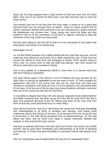Read vs5 The king assigned them a daily amount of food and wine from the king's table. They were to be trained for three years, and after that they were to enter the king's service.

The trainees also had to eat food from the king's table. It seems to be a good deal because these men are brought there as slaves - what can slaves expect? But for Daniel, Hananiah, Mishael and Azariah this was not a blessing but a burden because the Babylonians ate unclean food. These young men knew the Bible and they wanted to hold on to the commands of God even in captivity. Refusing to obey the instruction of the king could even bring death.

But they were willing to risk their life to hold on to the commands of God rather than obeying the commands of an earthly king.

Read again vs.8-16

Vs. 8,9 But Daniel resolved not to defile himself with the royal food and wine, and he asked the chief official for permission not to defile himself this way. 9 Now God had caused the official to show favor and sympathy to Daniel, When anyone wants to honor God, He comes down to help you fulfill that attempt. Here God caused the official to show favor and sympathy to Daniel.

This is very unlikely for a Babylonian official to show favor to a Hebrew slave! But with God nothing is impossible!

See what Daniel spoke to the official in Vs12-15"Please test your servants for ten days: Give us nothing but vegetables to eat and water to drink. 13 Then compare our appearance with that of the young men who eat the royal food, and treat your servants in accordance with what you see."14 So he agreed to this and tested them for ten days. 15 At the end of the ten days they looked healthier and better nourished than any of the young men who ate the royal food.

Is it possible to imagine that these men who ate just vegetarian food looked healthier and better nourished than any other young men who ate the royal food? But that is what God achieved! Because of this the official took away all the royal food from them so that they could peacefully focus on other things.

Story did not end there: read Vs17-19To these four young men God gave knowledge and understanding of all kinds of literature and learning. And Daniel could understand visions and dreams of all kinds. 18 At the end of the time set by the king to bring them in, the chief official presented them to Nebuchadnezzar. 19 The king talked with them, and he found none equal to Daniel, Hananiah, Mishael and Azariah; so they entered the king's service.

God was so pleased with these men who stood up to honor God above any worldly benefits, that he gave them knowledge and understanding of all kinds of literature and learning. To Daniel God gave the ability to understand visions and dreams of all kinds.

After the training they were brought before the king and he 'interviewed' them.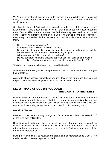Vs.20 In every matter of wisdom and understanding about which the king questioned them, he found them ten times better than all the magicians and enchanters in his whole kingdom.

See how the hand of God worked so powerfully in the lives of these young men? Even though it was a tough time for them - they had to see their houses burned down, families killed and the temple of the God whom they loved and served burned down - yet they put their complete trust in God of heaven and earth and resolved to obey every command of him irrespective of all possible punishments that can fall on them.

- Do you have such convictions?
- Or do you compromise in situations like this?
- Do you join other worldly people for ungodly speech, ungodly parties and the like? Why do you join the crowd and do ungodly things?
- Whom do you fear? God or people around you?
- Do you compromise fearing of losing opportunities, job, position or friendship?
- Do you believe God can work in the same way he worked in Daniel's life?

Why don't you attempt to be have convictions like Daniel.

Write down the areas you had compromised in the past and see the reasons you had at that time.

Also write about possible temptations you may face in the future and how you will respond differently because you trust God like Daniel and his friends.

## **Day 25 : HAND OF GOD BRINGS DOWN THE MIGHTY TO THE KNEES**

Nebuchadnezzar had a dream and he wanted his magicians, enchanters, sorcerers and astrologers to tell him what he had dreamed and its interpretation. But they all expressed their helplessness and said "What the king asks is too difficult. No one can reveal it to the king except the gods, and they do not live among men."

#### **Daniel : 2 Chapter**

Read vs.12 This made the king so angry and furious that he ordered the execution of all the wise men of Babylon.

Daniel and his friends were also in the list of wise men who were to be executed. So Daniel requested the king for time for him to interpret the dream. Then Daniel returned home and requested his friends to plead with God for mercy to reveal the dream and interpretation.

During the same night God revealed the dream and its interpretation to Daniel. This made Daniel to burst out in praises to God.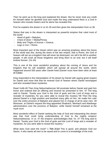Then he went up to the king and explained the dream. But he never took any credit for himself rather he glorified God and made the king understand there is a God in heaven who reveals misters and he alone has revealed this.

First he explains the dream in vs.31-35 and then gives the interpretation from vs 36.

Statue that was in the dream is interpreted as powerful empires that ruled most of the world:

- $-$  Head of gold = Babylon:
- Chest of silver = Media/Persia;
- Belly and Thighs of bronze = Greece;
- Legs or iron  $=$  Rome.

Most important part of the dream which was an amazing prophesy about the future of the world was this: during the times of the last empire, that is Rome, the God of heaven will set up a kingdom that will never be destroyed, nor will it be left to another people. It will crush all those kingdoms and bring them to an end, but it will itself endure forever. (Vs 44)

This is one of the most wonderful prophesy about the coming of Jesus and his kingdom that he will establish which will spread all around the world, which happened around 500 years after Daniel lived (Daniel must have been alive at least till 536BC.

King responded to the interpretation of his dream by Daniel with paying great respect for Daniel and more that that he revered God of heaven whom Daniel worshipped and who revealed these mysteries.

Read Vs46-49 Then King Nebuchadnezzar fell prostrate before Daniel and paid him honor and ordered that an offering and incense be presented to him. 47 The king said to Daniel, "Surely your God is the God of gods and the Lord of kings and a revealer of mysteries, for you were able to reveal this mystery."48 Then the king placed Daniel in a high position and lavished many gifts on him. He made him ruler over the entire province of Babylon and placed him in charge of all its wise men. 49 Moreover, at Daniel's request the king appointed Shadrach, Meshach and Abednego administrators over the province of Babylon, while Daniel himself remained at the royal court.

Most wonderful effect of Daniel seeking the help of God and interpreting this dream was that God could bring understanding of God to the mighty emperor Nebuchadnezzar. In vs. 47 the emperor acknowledges that: Vs. 47 The king said to Daniel, "Surely your God is the God of gods and the Lord of kings and a revealer of mysteries, for you were able to reveal this mystery."

What does God want the most? 1 **Tim 2:3,4** This is good, and pleases God our Savior, 4 who wants all men to be saved and to come to a knowledge of the truth.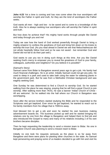**John 4:23** Yet a time is coming and has now come when the true worshipers will worship the Father in spirit and truth, for they are the kind of worshipers the Father seeks.

God wants all men - high and low - to be saved and to come to a knowledge of the truth. Also he is always seeking true worshipers who will worship the Father in spirit and truth.

But how does he achieve that? His mighty hand works through people like Daniel and today through you and me!

Today we saw how the hand of God worked powerfully through Daniel to bring a mighty emperor to confess the goodness of God and bring him down on his knees to worship the true God. (As you read ahead in Daniel we see that Nebuchadnezzar did not whole heartedly follow God and so he was not saved - but remember God and Daniel did not fail to do their part well.)

God wants to use you too in doing such things at this time. Are you like Daniel seeking God's mercy to empower you to reveal the greatness of God to your family, colleagues, authorities and neighbors? Do you believe it is possible?

#### {Samuel's Story}

Samuel came from Bidar to Bangalore several years ago to get a job. His family had much financial challenges. He is an artist. Initially Samuel could not get any jobs. He used to sleep in a park and used to take bath using the water for watering plants in the government park. But he was from a Methodist Christian background and was eagerly seeking God.

One Sunday he was determined to find a Church to worship God. So he started walking from the place he was staying, praying that he will find a great Church to join worship. After walking more than 7Kms, he saw a banner 'Indian Church of Christ - All are welcome'. So he walked into the hall where our Church in Bangalore was worshipping.

Soon after the service brothers started studying the Bible and he responded to the Scriptures and got baptized. Ever since he got baptized, he wanted to reach out to his family members from his village that is 700Kms away.

God blessed him to get a job and soon he started his own business making advertisement boards etc. The business picked up well and he started bringing his relatives one by one from the village to Bangalore and helped them to find job and also introduced the Gospel to many and many of his relatives including 2 of his own brothers became disciples.

Then he kept requesting the leadership to send a mission team to Bidar. No one in Bangalore Church was planning to send a mission team to Bidar.

Initially no one took his requests seriously as the place is so far away from Bangalore and there were plans for planting other churches in the state. As Samuel kept persevering and praying some of us leaders decided to go with him and visit his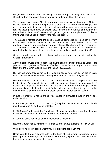village. So in 2006 we visited his village and he arranged meetings in the Methodist Church and we addressed their congregation and taught Discipleship etc.

The response was great. Also they arranged an open air meeting where 100s of visitors came and again the response was amazing. We visited many villages and even though we just walked in to those places without any notice, when someone realised these people came to preach, they informed their families and neighbours and in half an hour 30-60 people would gather together in one place with Bibles in their hands with amazing eagerness to hear the gospel.

This amazing interest among the people made us compelled to remember the very words Jesus spoke in Matthew 9: 36 When he saw the crowds, he had compassion on them, because they were harassed and helpless, like sheep without a shepherd. 37 Then he said to his disciples, "The harvest is plentiful but the workers are few. 38 Ask the Lord of the harvest, therefore, to send out workers into his harvest field."

So we started praying and came back and reported what we experienced to the Church in Bangalore.

All the disciples were excited about the plan to send the mission team to Bidar. That year end we organized a Christmas Carnival to raise funds to support the mission team and the Church raised up around Indian Rs.3,50,000/-

By then we were praying for God to raise up people who can go on the mission team. 4 of them came forward from Bangalore and another 4 from Hyderabad.

Mission team was sent in April 2007. Philip & Pramila who were singles at that time led the team. David & Monica went with the team and trained them for couple of weeks. In 30 days the team with the amazing help of God baptized 8 people and so the group literally doubled in a month's time. One of them who got baptized in the first month was Samuel's brother Santhosh. Soon his mother also got saved.

In just few months a house church was started in Samuel's house in the village called Anadur.

In the first year (April 2007 to Dec 2007) they had 20 baptisms and the Church membership was 25 by the end of 2007.

In 2008 also God blessed the Church with 20 souls being added even though some of the mission team members went back to the mother Churches.

In 2009, 13 souls got saved and the membership reached 50.

Now the Church has 123 members. In that 15 are campus students (by July 2014).

Write down names of people whom you feel difficult to approach and

Share your faith and pray with faith for the hand of God to work powerfully to give you opportunity, courage and wisdom to share the gospel to them and have their hearts to be opened to accept the gospel.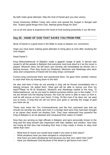By faith make great attempts. May the God of Daniel give you also victory.

Great missionary William Carey who came and spread the Gospel in Bengal said this: "Expect great things from God. Attempt great things for God."

Let us do the same & experience the hand of God working powerfully in our life time.

## **Day 26 : HAND OF GOD THAT SAVES YOU FROM FIRE**

Book of Daniel is a great book in the Bible to study to deepen our convictions.

Hope you have been making great attempts to bring glory to God after studying the 2nd chapter.

Read Daniel 3

King Nebuchadnezzar of Babylon made a gigantic image of gold. A decree was issued to all the people in Babylon that everyone must bow down to it as the music is played. Whoever does not fall down and worship will immediately be thrown into a blazing furnace. Then they found out Shadrach, Meshach and Abednego who were Jews and companions of Daniel did not obey king's command!

Furious king summoned them and questioned them. He gave them another chance to save their lives by bowing down to the idol!

He also told them if they do not worship it, they will be thrown immediately into a blazing furnace. He asked them "what god will be able to rescue you from my hand?"Read Vs.16-18 Shadrach, Meshach and Abednego replied to the king, "O Nebuchadnezzar, we do not need to defend ourselves before you in this matter. 17 If we are thrown into the blazing furnace, the God we serve is able to save us from it, and he will rescue us from your hand, O king. 18 But even if he does not, we want you to know, O king that we will not serve your gods or worship the image of gold you have set up.

These men knew the Ten Commandments and the first command was that we should not worship any idols and even in a foreign land were they had been brought in as slaves they would not disobey God. They have witnessed how powerful the King of Babylon is as he attacked and conquered their nation of Judah!

Now they are serving as high officials in Babylon and were personally known to the king and the king himself was impressed with their abilities and wisdom. Now they are losing all that they had including their lives if they made a choice to obey God rather than men!

- What kind of choice you would have made if you were in their place?
- What situations have you been tempted to compromise?
- How have you been disobeying God because you fear men rather than God?
- Have you disobeyed God because of the desire to get favors from men?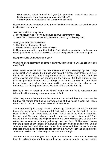- What are you afraid to lose? Is it your job, promotion, favor of your boss or family, property share from your parents, friendships?
- Are you afraid to share about Jesus to your colleagues?

- Not many of us are threatened to be thrown into fiery furnace! Yet you see how easy it is for us to compromise!

See the convictions they had -

- 1. They believed God is powerful enough to save them from the fire.
- 2. Even if God does not save them, they were not willing to disobey God.

What gave them this conviction?

- 1. They trusted the power of God.
- 2. They loved God more than their very lives.

3. They also wanted to share their faith in God with deep convictions to the pagans knowing that only the faith in true living God can bring salvation for these pagans.

How powerful is God according to you?

What if he does not stretch his arms to save you from troubles, will you still trust and obey God?

Read again vs.19-30 and see the outcome of them standing up with deep convictions! Even though the furnace was heated 7 times, when these men were thrown into that blazing furnace they were unharmed - flames of that fire killed those strong soldiers who threw our brothers into the furnace. But these 3 men of God were well protected in the blazing fire. King was amazed to see now there are 4 men in the furnace and all of them were walking around in the fire unbound and unharmed. The fourth person looked like a son of the gods to the king.

May be it was an angel or Jesus himself came into the fire to encourage and fellowship with these truly courageous men of God!

When they were pulled out from the furnace and examined they found out that the fire had not harmed their bodies, nor was a hair of their heads singed; their robes were not scorched, and there was no smell of fire on them.

This made the king to change his mind and accept his mistake and realize the God these men worshipped is truly powerful God and he praised the God of heaven. Read vs.28-30 Then Nebuchadnezzar said, "Praise be to the God of Shadrach, Meshach and Abednego, who has sent his angel and rescued his servants! They trusted in him and defied the king's command and were willing to give up their lives rather than serve or worship any god except their own God. 29 Therefore I decree that the people of any nation or language who say anything against the God of Shadrach, Meshach and Abednego be cut into pieces and their houses be turned into piles of rubble, for no other god can save in this way."30 Then the king promoted Shadrach, Meshach and Abednego in the province of Babylon.

See how his attitude changed from anger to amazement! Now he is appreciating them for willing to give up their lives rather than serve or worship any god except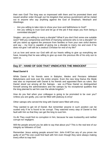their own God! The king was so impressed with them and he promoted them and issued another order through out his kingdom that serious punishment will be meted out to anyone who say anything against the God of Shadrach, Meshach and Abednego.

- Are you willing to take risks to show your love and faithfulness to God?
- Are you willing to trust God and let go of the job if that stops you from being a committed disciple?

Singles - are you willing to marry a disciple? What if you don't find some one suitable soon? Will you compromise and think of marrying someone who is not a disciple? Or will you stand up against the pressure from families or from your own sinful desires and say – my God is capable of giving me a disciple to marry me and even if he does not give I will still be a zealous Christian for rest of my life?

Let us love and serve our God with all our hearts willing to give up everything we have, knowing that he was willing to give up even the precious life of his only son to save us.

## **Day 27 : HAND OF GOD THAT VINDICATES THE INNOCENT**

#### **Read Daniel 6**

While Daniel & his friends were in Babylon, Medes and Persians defeated Babylonians and took over the entire empire. Even the new king Darius the Mede was also so impressed with Daniel & his friends and appointed them as rulers. But Daniel stood out among all the Satraps - see vs.3"Now Daniel so distinguished himself among the administrators and the satraps by his exceptional qualities that the king planned to set him over the whole kingdom."

How do you feel when your colleague is going to be promoted to be over you? Unless you are godly, you can be filled with jealousy & envy!

Other satraps who served the king with Daniel were filled with envy.

They wanted to get rid of Daniel. But remember anyone in such position can be ousted only if he is found to be corrupt. They watched every step of Daniel to find fault with him so that they can get the king to oust him.

Vs.4b They could find no corruption in him, because he was trustworthy and neither corrupt nor negligent.

Will the people around you be able to say that about you? This is the real test of our integrity as followers of God.

Remember Jesus asking people around him: John 8:46"Can any of you prove me guilty of sin?"No one could find fault with him even though they were always making every effort to trap him!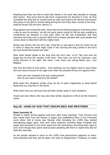Realizing that they can find no fault with Daniel in his work they decided to change their tactics - they knew that he will never compromise his devotion to God. So they compelled the king that he should issue an edict and enforce the decree that anyone who prays to any god or human being during the next thirty days, except to the king, shall be thrown into the lions' den(vs.7).

King agreed and issued the edict. Soon they found Daniel praying to God three times a day as was his practice. He did not worry about losing his life but was unwilling to compromise his devotion to God even when his life was threatened. Will God intervene and help such a person! Well God is always pleased with such people and comes down to help them with his mighty hand.

Daniel was thrown into the lion's den. King felt so sad about it that he could not eat or drink or sleep the whole night. Early in the morning the king rushed to the lion's den and found that Daniel was safe!

Hear what Daniel spoke to the king from the lion's den: Vs.22 "My God sent his angel and he shut the mouths of the lions. They have not hurt me, because I was found innocent in his sight. Nor have I ever done any wrong before you, Your Majesty."

See how the hand of God works - God stretches out his mighty hand to save those who are found innocent in his sight even when the powerful forces are against them.

- Have you ever doubted God and compromised?
- How do you want to lead your life ahead?

Write down the situations similar (may not be of same magnitude) to what Daniel faced that you may face in the future.

Write down how you will trust God and take similar steps in such situations.

Teach and train others who may also face similar situations in life to be like Daniel & Jesus.

## **Day 28 : HAND OF GOD THAT DISCIPLINES AND RESTORES**

#### **Read Jeremiah 25**

People of Judah sinned against God even after many warnings. They forsook God who saved them from the slavery in Egypt and established them in the Promised Land where milk & honey was flowing. After forsaking the LORD they started worshipping pagan gods. God sent many prophets including Major Prophets like Isaiah and Jeremiah to turn them away from the wickedness and bring them back to God. Even though they spent several years pleading with them to repent they did not heed the warnings.

As the people refused to return to the LORD God pronounced judgment on them. God predicted that they will be taken into exile by Babylonians. Prophecy of Isaiah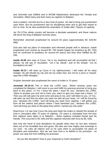and Jeremiah was fulfilled and in BC586 Babylonians destroyed the Temple and Jerusalem, killed many and took many as captives to Babylon.

God is patient, merciful but he is also God of justice. He had to bring just punishment upon them. But his punishment was for disciplining them and to get their hearts to turn to God. So he also predicted the restoration of Judah after 70years of captivity.

Jer 25:11This whole country will become a desolate wasteland, and these nations will serve the king of Babylon seventy years.

Remember Jeremiah prophesied for around 40 years (approximately BC 626-BC 586).

God also laid out plans of restoration and informed people well in advance. Isaiah prophesied such events by around BC 700 (Isaiah began his prophecy by BC 740s and he continued to prophecy for around 64 years) and they were fulfilled by BC 536.

**Isaiah 44:28** who says of Cyrus, 'He is my shepherd and will accomplish all that I please; he will say of Jerusalem, "Let it be rebuilt," and of the temple, "Let its foundations be laid." '

**Isaiah 45:13** I will raise up Cyrus in my righteousness: I will make all his ways straight. He will rebuild my city and set my exiles free, but not for a price or reward, says the LORD Almighty."

Prophet Jeremiah also prophesied the return of exiles in 70 years.

**Jeremiah 29:10-14** This is what the LORD says: "When seventy years are completed for Babylon, I will come to you and fulfill my gracious promise to bring you back to this place. 11 For I know the plans I have for you," declares the LORD, "plans to prosper you and not to harm you, plans to give you hope and a future. 12 Then you will call upon me and come and pray to me, and I will listen to you. 13 You will seek me and find me when you seek me with all your heart. 14 I will be found by you," declares the LORD, "and will bring you back from captivity. I will gather you from all the nations and places where I have banished you," declares the LORD, "and will bring you back to the place from which I carried you into exile."

Read Ezra 1 to see how Cyrus the king sent back the exiles to rebuild the temple of God in Jerusalem after 70 years of captivity. (70 years is calculated from the time first captives were taken in to Babylon – these captives included Daniel and his friends. This occurred in BC 605 and the captives returned with Ezra by BC 536)

See how the hand of God disciplines his people when they sin but also restores them out of his incredible love and grace. We also see how mighty and sovereign is our God - he rules all nations and so he uses them to accomplish his plans of discipline and restoration. Also we see how God is so faithful to his promises - no power can stop him from fulfilling his promises.

- Do you like discipline? How is your response to God's discipline?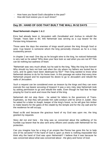- How have you faced God's discipline in the past?
- How did God restore you in such times?

## **Day 29 : HAND OF GOD THAT BUILT THE WALL IN 52 DAYS**

#### **Read Nehemiah chapter 1 & 2**

Ezra had already been in Jerusalem with Zerubbabel and Joshua to rebuild the Temple. Years later in BC 445 Nehemiah was serving as a cup bearer for the Persian king Artaxerxes.

Those were the days the enemies of kings would poison the king through food or wine. Cup bearer is someone whom the king personally chooses as he is a truly trustworthy person.

In chapter 2 we read: One day as he brought wine to the king, he noticed Nehemiah is very sad so he asked "Why does your face look so sad when you are not ill? This can be nothing but sadness of heart.

"Nehemiah was very much afraid, but he said to the king, "May the king live forever! Why should my face not look sad when the city where my fathers are buried lies in ruins, and its gates have been destroyed by fire?" Then king wanted to know what Nehemiah desires to do for his home town. In this passage we notice that every time Nehemiah prayed and he expressed his desire to go to Jerusalem and rebuild the walls of Jerusalem.

Such a request can be considered even as treason by the kings and they can even execute the cup bearer accusing of treason! It was a very risky step Nehemiah took by asking permission to go and rebuild the walls. Even though he had fear he kept praying for God to work and move the heart of the king.

Nehemiah did not stop there - he asked for letters to the governors of Trans-Euphrates, so that they will provide him safe-conduct until he arrive in Judah. Also he asked for a letter to Asaph, keeper of the king's forest, so he will give him timber to make beams for the gates of the citadel by the temple and for the city wall and for the residence he will occupy.

Read vs.8b and because the gracious hand of my God was upon me, the king granted my requests.

Story did not end here - the king was so concerned about the wellbeing of his humble cup bearer that he also sent army officers and cavalry with Nehemiah for his protection.

Can you imagine how far a king of an empire like Persia has gone this far to help one of his servants? If the hand of God is upon us there is nothing impossible! But think why the hand of God was upon Nehemiah? I believe that it was because he was concerned about what was concerned about - the glory and honor of God.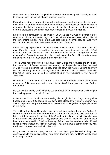Whenever we set our heart to glorify God he will do everything with his mighty hand to accomplish it. Bible is full of such amazing stories.

From chapter 3 we read about how Nehemiah planned well and executed the work even when he and his people faced serious threats and opposition. Work was really extensive, he did not have expert builders to do the job but he employed men of different professions and families for each location of the wall to be rebuilt.

Let us see the conclusion in Nehemiah 6: 15,16 So the wall was completed on the twenty-fifth of Elul, in fifty-two days. 16 When all our enemies heard about this, all the surrounding nations were afraid and lost their self-confidence, because they realized that this work had been done with the help of our God.

It was humanly impossible to rebuild the walls of such size in such a short time - 52 days! Even his enemies realized that this work had been done with the help of God of Israel. See how this work – work that seems to be menial - brought honor and glory to God! People in surrounding places understood that God of heaven is helping the people of Israel all over again. So they lived in fear!

This is what happened when Israel came from Egypt and occupied the Promised Land - the land of Canaan several centuries ago. All the people heard how the hand of God worked in opening the red sea, breaking down the walls of Jericho and they realized that no giants can stand against such a God who works hand in hand with this nation! Same fear of God is reestablished by the rebuilding of the walls of Jerusalem.

How do you respond when you hear of a situation where God's name is dishonored or despised? Do you have sadness and indignation? If not you don't love God or honor him!

Do you want to glorify God? What do you do about it? Do you pray for God's mighty hand to help you accomplish it? How?

In 2011 New York church set an amazing plan to glorify God. They set a goal to baptize and restore 100 people in 100 days. God blessed their faith the church was able to baptize 87 people and restore 16 people and so altogether 103 people saved in 103 days!

Trichy Church in Tamil Nadu does not have full time workers for years. Andrew & Rachel moved in there and Andrew has a strenuous business to take care for his living. Yet they took the leadership of the Church seriously and by faith. Membership of the church was around 50. They prayed that God will make the Church grow beyond the membership of 100 for the glory of God. Now the membership is 120 and is still growing without any full time workers! They even have a campus ministry with disciples from prominent institution like NIT!

Do you want to see the mighty hand of God working in your life and ministry? Set specific goals to bring glory to God, write them down and pray for God's mighty hand to accomplish them.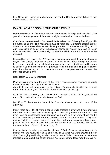Like Nehemiah - share with others what the hand of God has accomplished so that others can also gain faith.

## **Day 30 : ARM OF GOD - JESUS OUR SAVIOUR**

**Deuteronomy 5:15** Remember that you were slaves in Egypt and that the LORD your God brought you out of there with a mighty hand and an outstretched arm.

Out of amazing compassion God saved the Israelites out of slavery from Egypt with his outstretched arm. This happened 1000s of years ago. Our God's heart is still the same. His heart melts when he see his people suffer. Like a father stretching out his arm to rescue a child, our father in heaven stretches out his arm to rescue us in our times of troubles. That act was a sign of what he will do in the future for the entire mankind.

Mankind became slaves of sin! This slavery is much more painful than the slavery in Egypt. This slavery leads us to eternal suffering in hell. Even though it was our because of our fault, our merciful and gracious father could not sit there and leave us to suffer. God sent messengers or prophets to tell the mankind his plan of saving them from the slavery of sins. Isaiah was one of those prophets who brought the message of God's love.

Read Isaiah 52 & 53 (2 chapters)

Prophet Isaiah speaks of the arm of the Lord. These are some passages in Isaiah mentions arm of God - the arm will rule for God

(Is. 40:10); Arm will bring justice to the nations (Gentiles) (Is. 51:4,5); the arm will redeem (Is. 51:9,10); and the arm will provide salvation (Is. 52:10).

Isa 52:10 The Lord will lay bare his holy arm in the sight of all the nations, and all the ends of the earth will see the salvation of our God.

Isa 52 & 53 describes the 'arm of God' as the Messiah who will come. (John 12:37,38)

Many years ago I fell off from a canoe while crossing a river and I was drowning because I had no idea about swimming. As I was going down to the depth of the river, I saw an outstretched hand approaching me and I did not know whose hand it was but suddenly grabbed that hand knowing that this is the last resort. Only after getting back to the canoe I realized it was the hand of my cousin who had quickly jumped into the river to save me. I am so grateful that God reached out to me through the hand of my cousin to save my life.

Prophet Isaiah is painting a beautiful picture of God of heaven stretching out his mighty arm and revealing it to us and rescuing us when we were drowning in our sins. That mighty and loving arm is our savior Jesus Christ. Isaiah prophesied these incredible facts about our savior around 700 years before Jesus was born. As we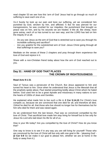read chapter 53 we see how this 'arm of God' Jesus had to go through so much of suffering to save each one of us.

Vs.4 Surely he took up our pain and bore our suffering, yet we considered him punished by God, stricken by him, and afflicted. 5 But he was pierced for our transgressions, he was crushed for our iniquities; the punishment that brought us peace was on him, and by his wounds we are healed. 6 We all, like sheep, have gone astray, each of us has turned to our own way; and the LORD has laid on him the iniquity of us all.

- Do you see Jesus as the arm of God that is stretched out to save you through his incredible suffering and sacrifice?
- Are you grateful for the outstretched arm of God -Jesus Christ going through all that sufferings to save you?

Meditate on the verses of these 2 chapters and pray through them experience the love of God and rejoice in it.

Share with a non-Christian friend today about how the arm of God reached out to you.

# **Day 31 : HAND OF GOD THAT PLACES THE CROWN OF RIGHTEOUSNESS**

#### **Read Acts 9:1-31**

Saul of Tarsus was a persecutor of the Church. But Jesus appeared to him and turned his heart to him. Once when he understood that Jesus is the Messiah that all the prophets spoke about, Paul started preaching boldly about Christ whom he hated before. God used him to be a great Apostle and missionary in many nations to turn the hearts of 1000s of Jews and Gentiles.

He explained what made him to live such a life in **2 Cor 5:14,15** For Christ's love compels us, because we are convinced that one died for all, and therefore all died. 15And he died for all, that those who live should no longer live for themselves but for him who died for them and was raised again.

As we understood from the last lesson, Paul was so convinced compelled by the love of Christ. That sacrificial love made him stop living for himself but to live only for Jesus his Lord who laid down his life for all of us.

How is your life today? Are you compelled by the love of Christ? How do you know that?

One way to know is to see if in any way you are still living for yourself! Those who are convinced by the love of Christ will live only with one goal in life - 'pleasing God' - **(2 Cor 5:9** So we make it our goal to please him, whether we are at home in the body or away from it.)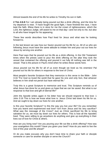Almost towards the end of his life he writes to Timothy his son in faith.

**2 Tim 4:6-8** For I am already being poured out like a drink offering, and the time for my departure is near. 7I have fought the good fight, I have finished the race, I have kept the faith. 8Now there is in store for me the crown of righteousness, which the Lord, the righteous Judge, will award to me on that day—and not only to me, but also to all who have longed for his appearing.

These few words describes how Paul lived for Jesus and what was he looking forward to.

In the last lesson we saw how our Savior poured out his life for us. All of us who are following Jesus must have the same attitude to imitate him and pour out our lives for Jesus by serving one another.

Here Paul says that he poured out his life as a drink offering. In the Old Testament times when the priests used to pour the drink offering on the altar they took the vessel that contained the offering and poured it out fully till nothing was left in the vessel. That is the picture in Paul's mind when he writes these words here.

Jesus poured out his life for all of us even though we lived as his enemies! Pal poured out his life for others in response to the love of Christ.

Most people's favorite Scripture that they memorize is this verse in the Bible - John 3:16 "For God so loved the world that he gave his one and only Son, that whoever believes in him shall not perish but have eternal life."

Truly this is a great Scripture to memorize and trust. This Scripture reminds us of what Jesus has done for us and gives us hope that we can be saved. But what is our response to that love and gift of eternal life?

John the Apostle writes again in his letter how we should respond to that love: 1 John 3:16 This is how we know what love is: Jesus Christ laid down his life for us. And we ought to lay down our lives for one another.

Is this your favorite Scripture? Is this the way you live your life? Do you remember how you learnt and experienced real love? Isn't from Jesus and his very sacrifice? What was the message of the Cross? Just as Christ sacrificed his life to bring salvation for us, we must lay down our lives for others. This is how all the Apostles lived. They were willing to go anywhere do anything and give up everything in their lives out of love for Christ & others.

How are you living now? Are you pouring your life out like a drink offering? How was your evangelism this month? Have you given your best? How do you want to live the rest of this year and life ahead?

Or do you make excuses why you don't have time to share your faith or disciple someone or care for another disciple or serve the Church?